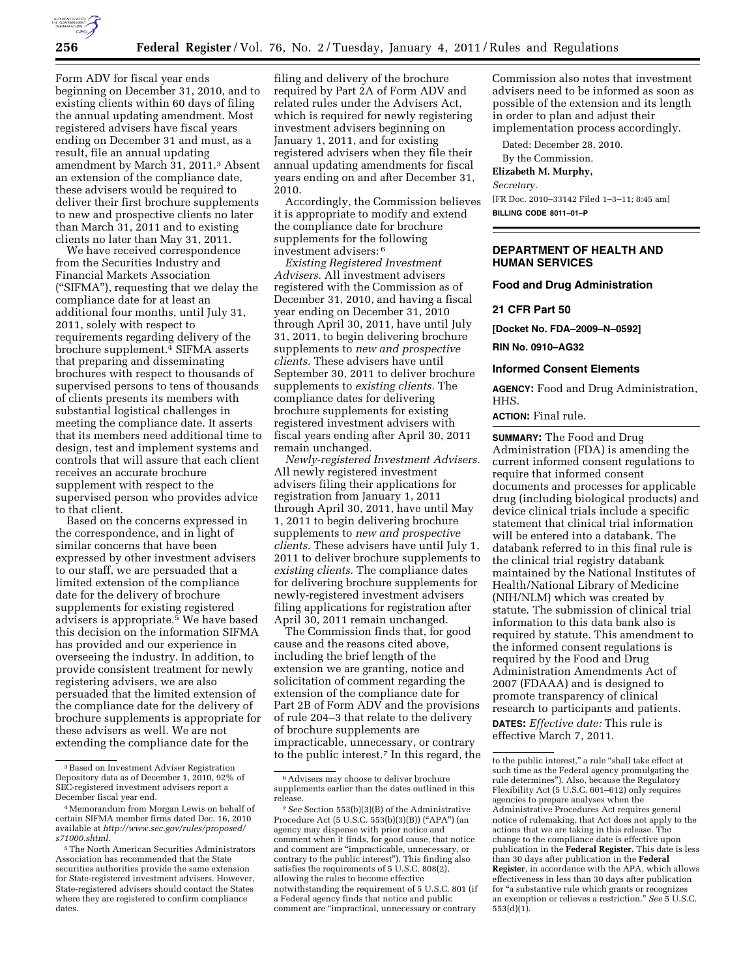

Form ADV for fiscal year ends beginning on December 31, 2010, and to existing clients within 60 days of filing the annual updating amendment. Most registered advisers have fiscal years ending on December 31 and must, as a result, file an annual updating amendment by March 31, 2011.3 Absent an extension of the compliance date, these advisers would be required to deliver their first brochure supplements to new and prospective clients no later than March 31, 2011 and to existing clients no later than May 31, 2011.

We have received correspondence from the Securities Industry and Financial Markets Association (''SIFMA''), requesting that we delay the compliance date for at least an additional four months, until July 31, 2011, solely with respect to requirements regarding delivery of the brochure supplement.4 SIFMA asserts that preparing and disseminating brochures with respect to thousands of supervised persons to tens of thousands of clients presents its members with substantial logistical challenges in meeting the compliance date. It asserts that its members need additional time to design, test and implement systems and controls that will assure that each client receives an accurate brochure supplement with respect to the supervised person who provides advice to that client.

Based on the concerns expressed in the correspondence, and in light of similar concerns that have been expressed by other investment advisers to our staff, we are persuaded that a limited extension of the compliance date for the delivery of brochure supplements for existing registered advisers is appropriate.5 We have based this decision on the information SIFMA has provided and our experience in overseeing the industry. In addition, to provide consistent treatment for newly registering advisers, we are also persuaded that the limited extension of the compliance date for the delivery of brochure supplements is appropriate for these advisers as well. We are not extending the compliance date for the

filing and delivery of the brochure required by Part 2A of Form ADV and related rules under the Advisers Act, which is required for newly registering investment advisers beginning on January 1, 2011, and for existing registered advisers when they file their annual updating amendments for fiscal years ending on and after December 31, 2010.

Accordingly, the Commission believes it is appropriate to modify and extend the compliance date for brochure supplements for the following investment advisers: 6

*Existing Registered Investment Advisers.* All investment advisers registered with the Commission as of December 31, 2010, and having a fiscal year ending on December 31, 2010 through April 30, 2011, have until July 31, 2011, to begin delivering brochure supplements to *new and prospective clients.* These advisers have until September 30, 2011 to deliver brochure supplements to *existing clients.* The compliance dates for delivering brochure supplements for existing registered investment advisers with fiscal years ending after April 30, 2011 remain unchanged.

*Newly-registered Investment Advisers.*  All newly registered investment advisers filing their applications for registration from January 1, 2011 through April 30, 2011, have until May 1, 2011 to begin delivering brochure supplements to *new and prospective clients.* These advisers have until July 1, 2011 to deliver brochure supplements to *existing clients.* The compliance dates for delivering brochure supplements for newly-registered investment advisers filing applications for registration after April 30, 2011 remain unchanged.

The Commission finds that, for good cause and the reasons cited above, including the brief length of the extension we are granting, notice and solicitation of comment regarding the extension of the compliance date for Part 2B of Form ADV and the provisions of rule 204–3 that relate to the delivery of brochure supplements are impracticable, unnecessary, or contrary to the public interest.7 In this regard, the

Commission also notes that investment advisers need to be informed as soon as possible of the extension and its length in order to plan and adjust their implementation process accordingly.

Dated: December 28, 2010.

By the Commission.

#### **Elizabeth M. Murphy,**

*Secretary.* 

[FR Doc. 2010–33142 Filed 1–3–11; 8:45 am] **BILLING CODE 8011–01–P** 

# **DEPARTMENT OF HEALTH AND HUMAN SERVICES**

## **Food and Drug Administration**

**21 CFR Part 50** 

**[Docket No. FDA–2009–N–0592]** 

**RIN No. 0910–AG32** 

### **Informed Consent Elements**

**AGENCY:** Food and Drug Administration, HHS.

## **ACTION:** Final rule.

**SUMMARY:** The Food and Drug Administration (FDA) is amending the current informed consent regulations to require that informed consent documents and processes for applicable drug (including biological products) and device clinical trials include a specific statement that clinical trial information will be entered into a databank. The databank referred to in this final rule is the clinical trial registry databank maintained by the National Institutes of Health/National Library of Medicine (NIH/NLM) which was created by statute. The submission of clinical trial information to this data bank also is required by statute. This amendment to the informed consent regulations is required by the Food and Drug Administration Amendments Act of 2007 (FDAAA) and is designed to promote transparency of clinical research to participants and patients. **DATES:** *Effective date:* This rule is effective March 7, 2011.

<sup>3</sup>Based on Investment Adviser Registration Depository data as of December 1, 2010, 92% of SEC-registered investment advisers report a December fiscal year end.

<sup>4</sup>Memorandum from Morgan Lewis on behalf of certain SIFMA member firms dated Dec. 16, 2010 available at *[http://www.sec.gov/rules/proposed/](http://www.sec.gov/rules/proposed/s71000.shtml)  [s71000.shtml.](http://www.sec.gov/rules/proposed/s71000.shtml)* 

<sup>5</sup>The North American Securities Administrators Association has recommended that the State securities authorities provide the same extension for State-registered investment advisers. However, State-registered advisers should contact the States where they are registered to confirm compliance dates.

<sup>6</sup>Advisers may choose to deliver brochure supplements earlier than the dates outlined in this release.

<sup>7</sup>*See* Section 553(b)(3)(B) of the Administrative Procedure Act (5 U.S.C. 553(b)(3)(B)) (''APA'') (an agency may dispense with prior notice and comment when it finds, for good cause, that notice and comment are ''impracticable, unnecessary, or contrary to the public interest''). This finding also satisfies the requirements of 5 U.S.C. 808(2), allowing the rules to become effective notwithstanding the requirement of 5 U.S.C. 801 (if a Federal agency finds that notice and public comment are ''impractical, unnecessary or contrary

to the public interest," a rule "shall take effect at such time as the Federal agency promulgating the rule determines''). Also, because the Regulatory Flexibility Act (5 U.S.C. 601–612) only requires agencies to prepare analyses when the Administrative Procedures Act requires general notice of rulemaking, that Act does not apply to the actions that we are taking in this release. The change to the compliance date is effective upon publication in the **Federal Register.** This date is less than 30 days after publication in the **Federal Register**, in accordance with the APA, which allows effectiveness in less than 30 days after publication for ''a substantive rule which grants or recognizes an exemption or relieves a restriction.'' *See* 5 U.S.C. 553(d)(1).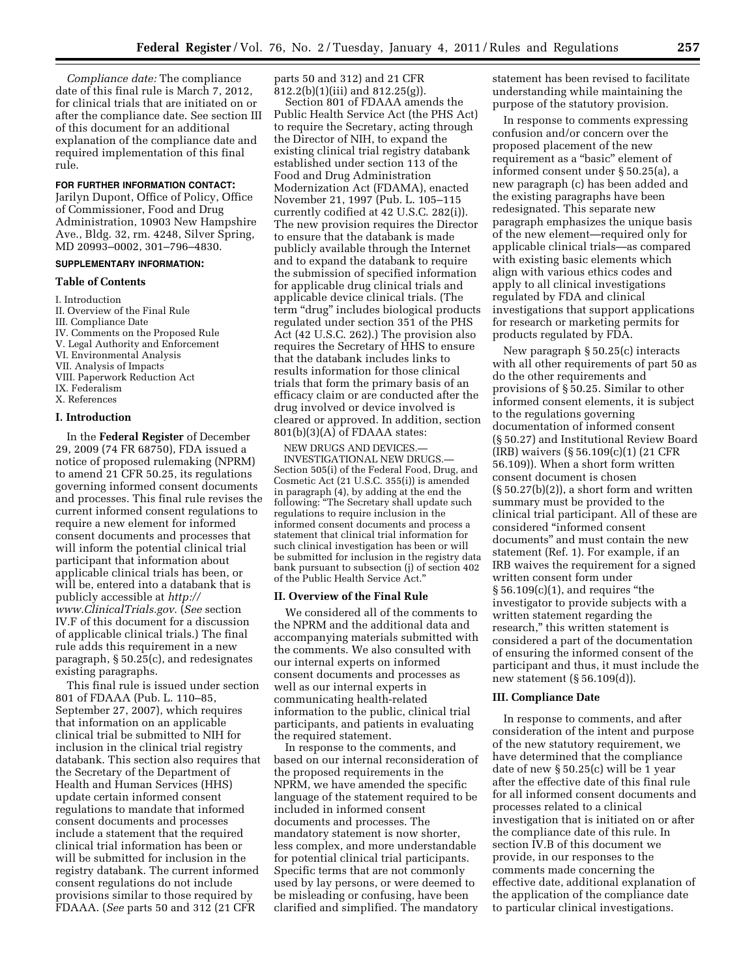*Compliance date:* The compliance date of this final rule is March 7, 2012, for clinical trials that are initiated on or after the compliance date. See section III of this document for an additional explanation of the compliance date and required implementation of this final rule.

#### **FOR FURTHER INFORMATION CONTACT:**

Jarilyn Dupont, Office of Policy, Office of Commissioner, Food and Drug Administration, 10903 New Hampshire Ave., Bldg. 32, rm. 4248, Silver Spring, MD 20993–0002, 301–796–4830.

# **SUPPLEMENTARY INFORMATION:**

#### **Table of Contents**

I. Introduction

- II. Overview of the Final Rule
- III. Compliance Date
- IV. Comments on the Proposed Rule
- V. Legal Authority and Enforcement
- VI. Environmental Analysis
- VII. Analysis of Impacts
- VIII. Paperwork Reduction Act
- IX. Federalism
- X. References

# **I. Introduction**

In the **Federal Register** of December 29, 2009 (74 FR 68750), FDA issued a notice of proposed rulemaking (NPRM) to amend 21 CFR 50.25, its regulations governing informed consent documents and processes. This final rule revises the current informed consent regulations to require a new element for informed consent documents and processes that will inform the potential clinical trial participant that information about applicable clinical trials has been, or will be, entered into a databank that is publicly accessible at *[http://](http://www.ClinicalTrials.gov) [www.ClinicalTrials.gov](http://www.ClinicalTrials.gov)*. (*See* section IV.F of this document for a discussion of applicable clinical trials.) The final rule adds this requirement in a new paragraph, § 50.25(c), and redesignates existing paragraphs.

This final rule is issued under section 801 of FDAAA (Pub. L. 110–85, September 27, 2007), which requires that information on an applicable clinical trial be submitted to NIH for inclusion in the clinical trial registry databank. This section also requires that the Secretary of the Department of Health and Human Services (HHS) update certain informed consent regulations to mandate that informed consent documents and processes include a statement that the required clinical trial information has been or will be submitted for inclusion in the registry databank. The current informed consent regulations do not include provisions similar to those required by FDAAA. (*See* parts 50 and 312 (21 CFR

parts 50 and 312) and 21 CFR  $812.2(b)(1)(iii)$  and  $812.25(g)$ ).

Section 801 of FDAAA amends the Public Health Service Act (the PHS Act) to require the Secretary, acting through the Director of NIH, to expand the existing clinical trial registry databank established under section 113 of the Food and Drug Administration Modernization Act (FDAMA), enacted November 21, 1997 (Pub. L. 105–115 currently codified at 42 U.S.C. 282(i)). The new provision requires the Director to ensure that the databank is made publicly available through the Internet and to expand the databank to require the submission of specified information for applicable drug clinical trials and applicable device clinical trials. (The term ''drug'' includes biological products regulated under section 351 of the PHS Act (42 U.S.C. 262).) The provision also requires the Secretary of HHS to ensure that the databank includes links to results information for those clinical trials that form the primary basis of an efficacy claim or are conducted after the drug involved or device involved is cleared or approved. In addition, section 801(b)(3)(A) of FDAAA states:

NEW DRUGS AND DEVICES.— INVESTIGATIONAL NEW DRUGS.— Section 505(i) of the Federal Food, Drug, and Cosmetic Act (21 U.S.C. 355(i)) is amended in paragraph (4), by adding at the end the following: ''The Secretary shall update such regulations to require inclusion in the informed consent documents and process a statement that clinical trial information for such clinical investigation has been or will be submitted for inclusion in the registry data bank pursuant to subsection (j) of section 402 of the Public Health Service Act.''

#### **II. Overview of the Final Rule**

We considered all of the comments to the NPRM and the additional data and accompanying materials submitted with the comments. We also consulted with our internal experts on informed consent documents and processes as well as our internal experts in communicating health-related information to the public, clinical trial participants, and patients in evaluating the required statement.

In response to the comments, and based on our internal reconsideration of the proposed requirements in the NPRM, we have amended the specific language of the statement required to be included in informed consent documents and processes. The mandatory statement is now shorter, less complex, and more understandable for potential clinical trial participants. Specific terms that are not commonly used by lay persons, or were deemed to be misleading or confusing, have been clarified and simplified. The mandatory

statement has been revised to facilitate understanding while maintaining the purpose of the statutory provision.

In response to comments expressing confusion and/or concern over the proposed placement of the new requirement as a ''basic'' element of informed consent under § 50.25(a), a new paragraph (c) has been added and the existing paragraphs have been redesignated. This separate new paragraph emphasizes the unique basis of the new element—required only for applicable clinical trials—as compared with existing basic elements which align with various ethics codes and apply to all clinical investigations regulated by FDA and clinical investigations that support applications for research or marketing permits for products regulated by FDA.

New paragraph § 50.25(c) interacts with all other requirements of part 50 as do the other requirements and provisions of § 50.25. Similar to other informed consent elements, it is subject to the regulations governing documentation of informed consent (§ 50.27) and Institutional Review Board (IRB) waivers (§ 56.109(c)(1) (21 CFR 56.109)). When a short form written consent document is chosen  $(\S 50.27(b)(2))$ , a short form and written summary must be provided to the clinical trial participant. All of these are considered ''informed consent documents'' and must contain the new statement (Ref. 1). For example, if an IRB waives the requirement for a signed written consent form under  $§ 56.109(c)(1)$ , and requires "the investigator to provide subjects with a written statement regarding the research,'' this written statement is considered a part of the documentation of ensuring the informed consent of the participant and thus, it must include the new statement (§ 56.109(d)).

#### **III. Compliance Date**

In response to comments, and after consideration of the intent and purpose of the new statutory requirement, we have determined that the compliance date of new § 50.25(c) will be 1 year after the effective date of this final rule for all informed consent documents and processes related to a clinical investigation that is initiated on or after the compliance date of this rule. In section IV.B of this document we provide, in our responses to the comments made concerning the effective date, additional explanation of the application of the compliance date to particular clinical investigations.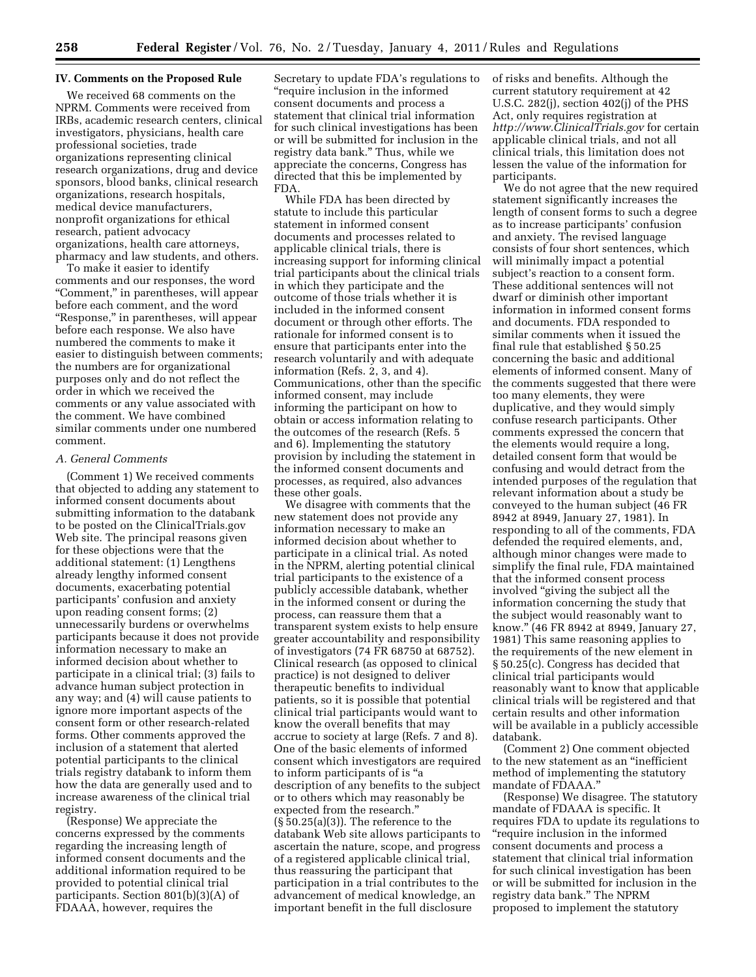## **IV. Comments on the Proposed Rule**

We received 68 comments on the NPRM. Comments were received from IRBs, academic research centers, clinical investigators, physicians, health care professional societies, trade organizations representing clinical research organizations, drug and device sponsors, blood banks, clinical research organizations, research hospitals, medical device manufacturers, nonprofit organizations for ethical research, patient advocacy organizations, health care attorneys, pharmacy and law students, and others.

To make it easier to identify comments and our responses, the word "Comment," in parentheses, will appear before each comment, and the word "Response," in parentheses, will appear before each response. We also have numbered the comments to make it easier to distinguish between comments; the numbers are for organizational purposes only and do not reflect the order in which we received the comments or any value associated with the comment. We have combined similar comments under one numbered comment.

# *A. General Comments*

(Comment 1) We received comments that objected to adding any statement to informed consent documents about submitting information to the databank to be posted on the ClinicalTrials.gov Web site. The principal reasons given for these objections were that the additional statement: (1) Lengthens already lengthy informed consent documents, exacerbating potential participants' confusion and anxiety upon reading consent forms; (2) unnecessarily burdens or overwhelms participants because it does not provide information necessary to make an informed decision about whether to participate in a clinical trial; (3) fails to advance human subject protection in any way; and (4) will cause patients to ignore more important aspects of the consent form or other research-related forms. Other comments approved the inclusion of a statement that alerted potential participants to the clinical trials registry databank to inform them how the data are generally used and to increase awareness of the clinical trial registry.

(Response) We appreciate the concerns expressed by the comments regarding the increasing length of informed consent documents and the additional information required to be provided to potential clinical trial participants. Section 801(b)(3)(A) of FDAAA, however, requires the

Secretary to update FDA's regulations to ''require inclusion in the informed consent documents and process a statement that clinical trial information for such clinical investigations has been or will be submitted for inclusion in the registry data bank.'' Thus, while we appreciate the concerns, Congress has directed that this be implemented by FDA.

While FDA has been directed by statute to include this particular statement in informed consent documents and processes related to applicable clinical trials, there is increasing support for informing clinical trial participants about the clinical trials in which they participate and the outcome of those trials whether it is included in the informed consent document or through other efforts. The rationale for informed consent is to ensure that participants enter into the research voluntarily and with adequate information (Refs. 2, 3, and 4). Communications, other than the specific informed consent, may include informing the participant on how to obtain or access information relating to the outcomes of the research (Refs. 5 and 6). Implementing the statutory provision by including the statement in the informed consent documents and processes, as required, also advances these other goals.

We disagree with comments that the new statement does not provide any information necessary to make an informed decision about whether to participate in a clinical trial. As noted in the NPRM, alerting potential clinical trial participants to the existence of a publicly accessible databank, whether in the informed consent or during the process, can reassure them that a transparent system exists to help ensure greater accountability and responsibility of investigators (74 FR 68750 at 68752). Clinical research (as opposed to clinical practice) is not designed to deliver therapeutic benefits to individual patients, so it is possible that potential clinical trial participants would want to know the overall benefits that may accrue to society at large (Refs. 7 and 8). One of the basic elements of informed consent which investigators are required to inform participants of is ''a description of any benefits to the subject or to others which may reasonably be expected from the research.''  $(\S 50.25(a)(3))$ . The reference to the databank Web site allows participants to ascertain the nature, scope, and progress of a registered applicable clinical trial, thus reassuring the participant that participation in a trial contributes to the advancement of medical knowledge, an important benefit in the full disclosure

of risks and benefits. Although the current statutory requirement at 42 U.S.C. 282(j), section 402(j) of the PHS Act, only requires registration at *<http://www.ClinicalTrials.gov>*for certain applicable clinical trials, and not all clinical trials, this limitation does not lessen the value of the information for participants.

We do not agree that the new required statement significantly increases the length of consent forms to such a degree as to increase participants' confusion and anxiety. The revised language consists of four short sentences, which will minimally impact a potential subject's reaction to a consent form. These additional sentences will not dwarf or diminish other important information in informed consent forms and documents. FDA responded to similar comments when it issued the final rule that established § 50.25 concerning the basic and additional elements of informed consent. Many of the comments suggested that there were too many elements, they were duplicative, and they would simply confuse research participants. Other comments expressed the concern that the elements would require a long, detailed consent form that would be confusing and would detract from the intended purposes of the regulation that relevant information about a study be conveyed to the human subject (46 FR 8942 at 8949, January 27, 1981). In responding to all of the comments, FDA defended the required elements, and, although minor changes were made to simplify the final rule, FDA maintained that the informed consent process involved ''giving the subject all the information concerning the study that the subject would reasonably want to know.'' (46 FR 8942 at 8949, January 27, 1981) This same reasoning applies to the requirements of the new element in § 50.25(c). Congress has decided that clinical trial participants would reasonably want to know that applicable clinical trials will be registered and that certain results and other information will be available in a publicly accessible databank.

(Comment 2) One comment objected to the new statement as an ''inefficient method of implementing the statutory mandate of FDAAA.''

(Response) We disagree. The statutory mandate of FDAAA is specific. It requires FDA to update its regulations to ''require inclusion in the informed consent documents and process a statement that clinical trial information for such clinical investigation has been or will be submitted for inclusion in the registry data bank.'' The NPRM proposed to implement the statutory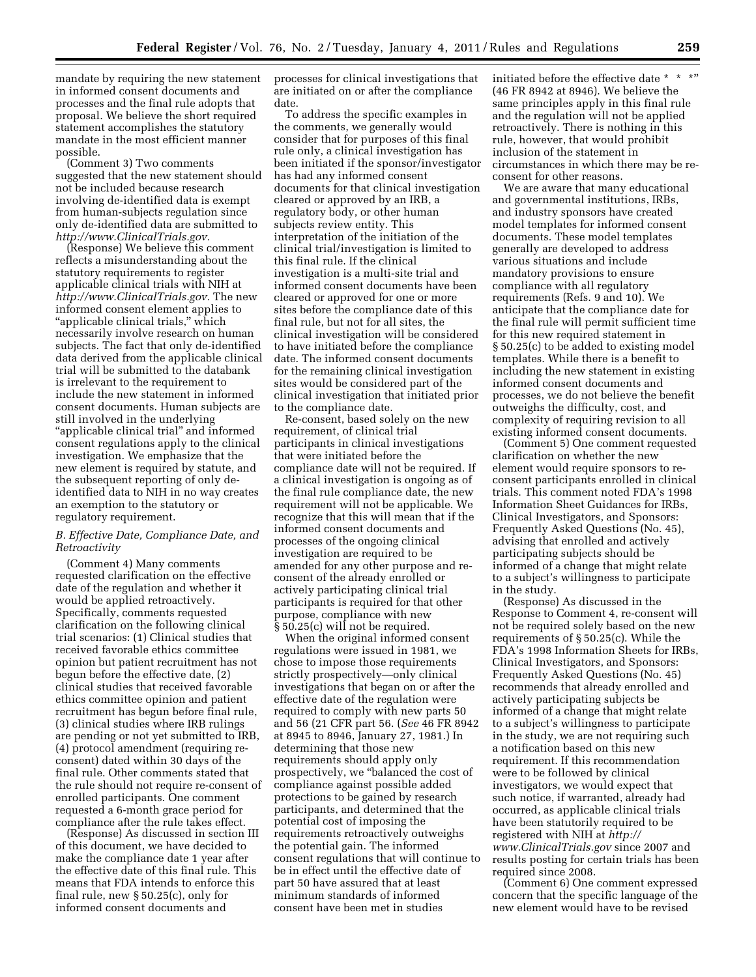mandate by requiring the new statement in informed consent documents and processes and the final rule adopts that proposal. We believe the short required statement accomplishes the statutory mandate in the most efficient manner possible.

(Comment 3) Two comments suggested that the new statement should not be included because research involving de-identified data is exempt from human-subjects regulation since only de-identified data are submitted to *[http://www.ClinicalTrials.gov.](http://www.ClinicalTrials.gov)* 

(Response) We believe this comment reflects a misunderstanding about the statutory requirements to register applicable clinical trials with NIH at *[http://www.ClinicalTrials.gov.](http://www.ClinicalTrials.gov)* The new informed consent element applies to ''applicable clinical trials,'' which necessarily involve research on human subjects. The fact that only de-identified data derived from the applicable clinical trial will be submitted to the databank is irrelevant to the requirement to include the new statement in informed consent documents. Human subjects are still involved in the underlying ''applicable clinical trial'' and informed consent regulations apply to the clinical investigation. We emphasize that the new element is required by statute, and the subsequent reporting of only deidentified data to NIH in no way creates an exemption to the statutory or regulatory requirement.

# *B. Effective Date, Compliance Date, and Retroactivity*

(Comment 4) Many comments requested clarification on the effective date of the regulation and whether it would be applied retroactively. Specifically, comments requested clarification on the following clinical trial scenarios: (1) Clinical studies that received favorable ethics committee opinion but patient recruitment has not begun before the effective date, (2) clinical studies that received favorable ethics committee opinion and patient recruitment has begun before final rule, (3) clinical studies where IRB rulings are pending or not yet submitted to IRB, (4) protocol amendment (requiring reconsent) dated within 30 days of the final rule. Other comments stated that the rule should not require re-consent of enrolled participants. One comment requested a 6-month grace period for compliance after the rule takes effect.

(Response) As discussed in section III of this document, we have decided to make the compliance date 1 year after the effective date of this final rule. This means that FDA intends to enforce this final rule, new § 50.25(c), only for informed consent documents and

processes for clinical investigations that are initiated on or after the compliance date.

To address the specific examples in the comments, we generally would consider that for purposes of this final rule only, a clinical investigation has been initiated if the sponsor/investigator has had any informed consent documents for that clinical investigation cleared or approved by an IRB, a regulatory body, or other human subjects review entity. This interpretation of the initiation of the clinical trial/investigation is limited to this final rule. If the clinical investigation is a multi-site trial and informed consent documents have been cleared or approved for one or more sites before the compliance date of this final rule, but not for all sites, the clinical investigation will be considered to have initiated before the compliance date. The informed consent documents for the remaining clinical investigation sites would be considered part of the clinical investigation that initiated prior to the compliance date.

Re-consent, based solely on the new requirement, of clinical trial participants in clinical investigations that were initiated before the compliance date will not be required. If a clinical investigation is ongoing as of the final rule compliance date, the new requirement will not be applicable. We recognize that this will mean that if the informed consent documents and processes of the ongoing clinical investigation are required to be amended for any other purpose and reconsent of the already enrolled or actively participating clinical trial participants is required for that other purpose, compliance with new § 50.25(c) will not be required.

When the original informed consent regulations were issued in 1981, we chose to impose those requirements strictly prospectively—only clinical investigations that began on or after the effective date of the regulation were required to comply with new parts 50 and 56 (21 CFR part 56. (*See* 46 FR 8942 at 8945 to 8946, January 27, 1981.) In determining that those new requirements should apply only prospectively, we ''balanced the cost of compliance against possible added protections to be gained by research participants, and determined that the potential cost of imposing the requirements retroactively outweighs the potential gain. The informed consent regulations that will continue to be in effect until the effective date of part 50 have assured that at least minimum standards of informed consent have been met in studies

initiated before the effective date \* \* \*" (46 FR 8942 at 8946). We believe the same principles apply in this final rule and the regulation will not be applied retroactively. There is nothing in this rule, however, that would prohibit inclusion of the statement in circumstances in which there may be reconsent for other reasons.

We are aware that many educational and governmental institutions, IRBs, and industry sponsors have created model templates for informed consent documents. These model templates generally are developed to address various situations and include mandatory provisions to ensure compliance with all regulatory requirements (Refs. 9 and 10). We anticipate that the compliance date for the final rule will permit sufficient time for this new required statement in § 50.25(c) to be added to existing model templates. While there is a benefit to including the new statement in existing informed consent documents and processes, we do not believe the benefit outweighs the difficulty, cost, and complexity of requiring revision to all existing informed consent documents.

(Comment 5) One comment requested clarification on whether the new element would require sponsors to reconsent participants enrolled in clinical trials. This comment noted FDA's 1998 Information Sheet Guidances for IRBs, Clinical Investigators, and Sponsors: Frequently Asked Questions (No. 45), advising that enrolled and actively participating subjects should be informed of a change that might relate to a subject's willingness to participate in the study.

(Response) As discussed in the Response to Comment 4, re-consent will not be required solely based on the new requirements of § 50.25(c). While the FDA's 1998 Information Sheets for IRBs, Clinical Investigators, and Sponsors: Frequently Asked Questions (No. 45) recommends that already enrolled and actively participating subjects be informed of a change that might relate to a subject's willingness to participate in the study, we are not requiring such a notification based on this new requirement. If this recommendation were to be followed by clinical investigators, we would expect that such notice, if warranted, already had occurred, as applicable clinical trials have been statutorily required to be registered with NIH at *[http://](http://www.ClinicalTrials.gov) [www.ClinicalTrials.gov](http://www.ClinicalTrials.gov)* since 2007 and results posting for certain trials has been required since 2008.

(Comment 6) One comment expressed concern that the specific language of the new element would have to be revised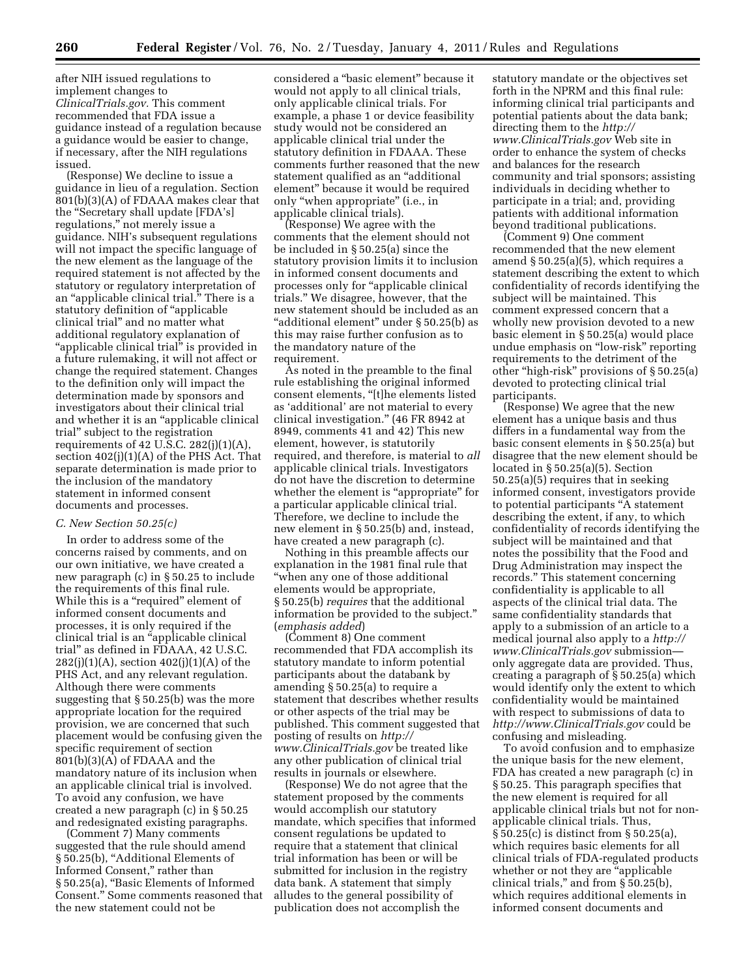after NIH issued regulations to implement changes to *ClinicalTrials.gov.* This comment recommended that FDA issue a guidance instead of a regulation because a guidance would be easier to change, if necessary, after the NIH regulations issued.

(Response) We decline to issue a guidance in lieu of a regulation. Section 801(b)(3)(A) of FDAAA makes clear that the ''Secretary shall update [FDA's] regulations,'' not merely issue a guidance. NIH's subsequent regulations will not impact the specific language of the new element as the language of the required statement is not affected by the statutory or regulatory interpretation of an ''applicable clinical trial.'' There is a statutory definition of "applicable clinical trial'' and no matter what additional regulatory explanation of "applicable clinical trial" is provided in a future rulemaking, it will not affect or change the required statement. Changes to the definition only will impact the determination made by sponsors and investigators about their clinical trial and whether it is an ''applicable clinical trial'' subject to the registration requirements of 42 U.S.C.  $282(j)(1)(A)$ , section 402(j)(1)(A) of the PHS Act. That separate determination is made prior to the inclusion of the mandatory statement in informed consent documents and processes.

## *C. New Section 50.25(c)*

In order to address some of the concerns raised by comments, and on our own initiative, we have created a new paragraph (c) in § 50.25 to include the requirements of this final rule. While this is a "required" element of informed consent documents and processes, it is only required if the clinical trial is an ''applicable clinical trial'' as defined in FDAAA, 42 U.S.C. 282(j)(1)(A), section 402(j)(1)(A) of the PHS Act, and any relevant regulation. Although there were comments suggesting that § 50.25(b) was the more appropriate location for the required provision, we are concerned that such placement would be confusing given the specific requirement of section 801(b)(3)(A) of FDAAA and the mandatory nature of its inclusion when an applicable clinical trial is involved. To avoid any confusion, we have created a new paragraph (c) in § 50.25 and redesignated existing paragraphs.

(Comment 7) Many comments suggested that the rule should amend § 50.25(b), ''Additional Elements of Informed Consent,'' rather than § 50.25(a), ''Basic Elements of Informed Consent.'' Some comments reasoned that the new statement could not be

considered a ''basic element'' because it would not apply to all clinical trials, only applicable clinical trials. For example, a phase 1 or device feasibility study would not be considered an applicable clinical trial under the statutory definition in FDAAA. These comments further reasoned that the new statement qualified as an ''additional element'' because it would be required only ''when appropriate'' (i.e., in applicable clinical trials).

(Response) We agree with the comments that the element should not be included in § 50.25(a) since the statutory provision limits it to inclusion in informed consent documents and processes only for ''applicable clinical trials.'' We disagree, however, that the new statement should be included as an ''additional element'' under § 50.25(b) as this may raise further confusion as to the mandatory nature of the requirement.

As noted in the preamble to the final rule establishing the original informed consent elements, ''[t]he elements listed as 'additional' are not material to every clinical investigation.'' (46 FR 8942 at 8949, comments 41 and 42) This new element, however, is statutorily required, and therefore, is material to *all*  applicable clinical trials. Investigators do not have the discretion to determine whether the element is "appropriate" for a particular applicable clinical trial. Therefore, we decline to include the new element in § 50.25(b) and, instead, have created a new paragraph (c).

Nothing in this preamble affects our explanation in the 1981 final rule that ''when any one of those additional elements would be appropriate, § 50.25(b) *requires* that the additional information be provided to the subject.'' (*emphasis added*)

(Comment 8) One comment recommended that FDA accomplish its statutory mandate to inform potential participants about the databank by amending § 50.25(a) to require a statement that describes whether results or other aspects of the trial may be published. This comment suggested that posting of results on *[http://](http://www.ClinicalTrials.gov)  [www.ClinicalTrials.gov](http://www.ClinicalTrials.gov)* be treated like any other publication of clinical trial results in journals or elsewhere.

(Response) We do not agree that the statement proposed by the comments would accomplish our statutory mandate, which specifies that informed consent regulations be updated to require that a statement that clinical trial information has been or will be submitted for inclusion in the registry data bank. A statement that simply alludes to the general possibility of publication does not accomplish the

statutory mandate or the objectives set forth in the NPRM and this final rule: informing clinical trial participants and potential patients about the data bank; directing them to the *[http://](http://www.ClinicalTrials.gov) [www.ClinicalTrials.gov](http://www.ClinicalTrials.gov)* Web site in order to enhance the system of checks and balances for the research community and trial sponsors; assisting individuals in deciding whether to participate in a trial; and, providing patients with additional information beyond traditional publications.

(Comment 9) One comment recommended that the new element amend § 50.25(a)(5), which requires a statement describing the extent to which confidentiality of records identifying the subject will be maintained. This comment expressed concern that a wholly new provision devoted to a new basic element in § 50.25(a) would place undue emphasis on ''low-risk'' reporting requirements to the detriment of the other "high-risk" provisions of § 50.25(a) devoted to protecting clinical trial participants.

(Response) We agree that the new element has a unique basis and thus differs in a fundamental way from the basic consent elements in § 50.25(a) but disagree that the new element should be located in § 50.25(a)(5). Section 50.25(a)(5) requires that in seeking informed consent, investigators provide to potential participants ''A statement describing the extent, if any, to which confidentiality of records identifying the subject will be maintained and that notes the possibility that the Food and Drug Administration may inspect the records.'' This statement concerning confidentiality is applicable to all aspects of the clinical trial data. The same confidentiality standards that apply to a submission of an article to a medical journal also apply to a *[http://](http://www.ClinicalTrials.gov) [www.ClinicalTrials.gov](http://www.ClinicalTrials.gov)* submission only aggregate data are provided. Thus, creating a paragraph of § 50.25(a) which would identify only the extent to which confidentiality would be maintained with respect to submissions of data to *<http://www.ClinicalTrials.gov>*could be confusing and misleading.

To avoid confusion and to emphasize the unique basis for the new element, FDA has created a new paragraph (c) in § 50.25. This paragraph specifies that the new element is required for all applicable clinical trials but not for nonapplicable clinical trials. Thus, § 50.25(c) is distinct from § 50.25(a), which requires basic elements for all clinical trials of FDA-regulated products whether or not they are "applicable clinical trials,'' and from § 50.25(b), which requires additional elements in informed consent documents and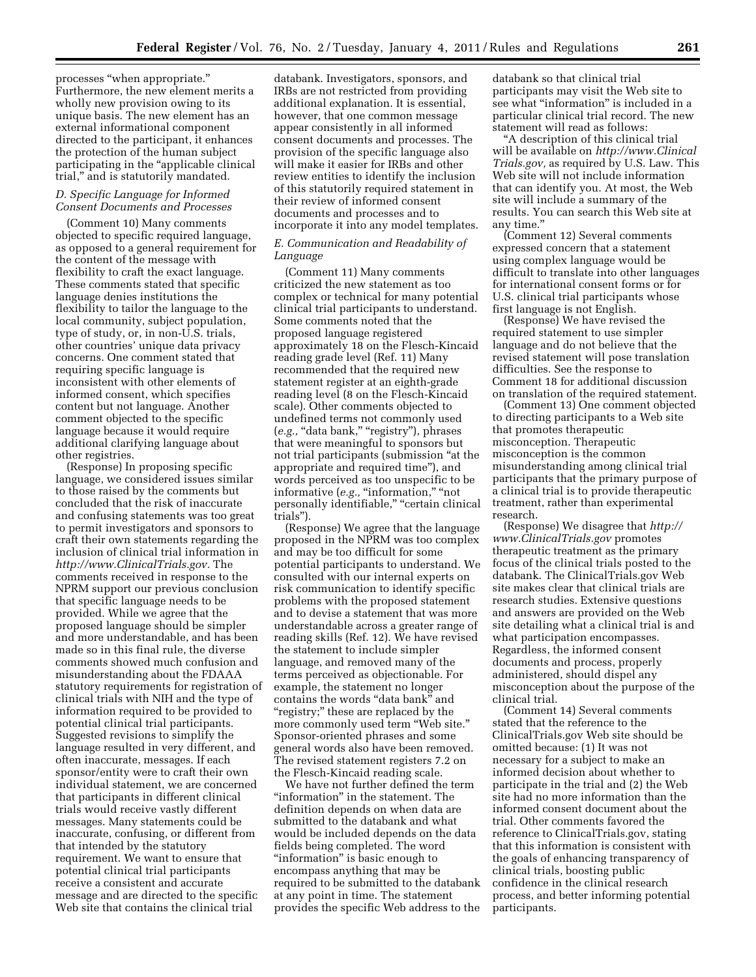processes ''when appropriate.'' Furthermore, the new element merits a wholly new provision owing to its unique basis. The new element has an external informational component directed to the participant, it enhances the protection of the human subject participating in the ''applicable clinical trial,'' and is statutorily mandated.

## *D. Specific Language for Informed Consent Documents and Processes*

(Comment 10) Many comments objected to specific required language, as opposed to a general requirement for the content of the message with flexibility to craft the exact language. These comments stated that specific language denies institutions the flexibility to tailor the language to the local community, subject population, type of study, or, in non-U.S. trials, other countries' unique data privacy concerns. One comment stated that requiring specific language is inconsistent with other elements of informed consent, which specifies content but not language. Another comment objected to the specific language because it would require additional clarifying language about other registries.

(Response) In proposing specific language, we considered issues similar to those raised by the comments but concluded that the risk of inaccurate and confusing statements was too great to permit investigators and sponsors to craft their own statements regarding the inclusion of clinical trial information in *[http://www.ClinicalTrials.gov.](http://www.ClinicalTrials.gov)* The comments received in response to the NPRM support our previous conclusion that specific language needs to be provided. While we agree that the proposed language should be simpler and more understandable, and has been made so in this final rule, the diverse comments showed much confusion and misunderstanding about the FDAAA statutory requirements for registration of clinical trials with NIH and the type of information required to be provided to potential clinical trial participants. Suggested revisions to simplify the language resulted in very different, and often inaccurate, messages. If each sponsor/entity were to craft their own individual statement, we are concerned that participants in different clinical trials would receive vastly different messages. Many statements could be inaccurate, confusing, or different from that intended by the statutory requirement. We want to ensure that potential clinical trial participants receive a consistent and accurate message and are directed to the specific Web site that contains the clinical trial

databank. Investigators, sponsors, and IRBs are not restricted from providing additional explanation. It is essential, however, that one common message appear consistently in all informed consent documents and processes. The provision of the specific language also will make it easier for IRBs and other review entities to identify the inclusion of this statutorily required statement in their review of informed consent documents and processes and to incorporate it into any model templates.

## *E. Communication and Readability of Language*

(Comment 11) Many comments criticized the new statement as too complex or technical for many potential clinical trial participants to understand. Some comments noted that the proposed language registered approximately 18 on the Flesch-Kincaid reading grade level (Ref. 11) Many recommended that the required new statement register at an eighth-grade reading level (8 on the Flesch-Kincaid scale). Other comments objected to undefined terms not commonly used (e.g., "data bank," "registry"), phrases that were meaningful to sponsors but not trial participants (submission ''at the appropriate and required time''), and words perceived as too unspecific to be informative (e.g., "information," "not personally identifiable," "certain clinical trials'').

(Response) We agree that the language proposed in the NPRM was too complex and may be too difficult for some potential participants to understand. We consulted with our internal experts on risk communication to identify specific problems with the proposed statement and to devise a statement that was more understandable across a greater range of reading skills (Ref. 12). We have revised the statement to include simpler language, and removed many of the terms perceived as objectionable. For example, the statement no longer contains the words "data bank" and ''registry;'' these are replaced by the more commonly used term ''Web site.'' Sponsor-oriented phrases and some general words also have been removed. The revised statement registers 7.2 on the Flesch-Kincaid reading scale.

We have not further defined the term "information" in the statement. The definition depends on when data are submitted to the databank and what would be included depends on the data fields being completed. The word "information" is basic enough to encompass anything that may be required to be submitted to the databank at any point in time. The statement provides the specific Web address to the

databank so that clinical trial participants may visit the Web site to see what ''information'' is included in a particular clinical trial record. The new statement will read as follows:

''A description of this clinical trial will be available on *[http://www.Clinical](http://www.ClinicalTrials.gov) [Trials.gov,](http://www.ClinicalTrials.gov)* as required by U.S. Law. This Web site will not include information that can identify you. At most, the Web site will include a summary of the results. You can search this Web site at any time.''

(Comment 12) Several comments expressed concern that a statement using complex language would be difficult to translate into other languages for international consent forms or for U.S. clinical trial participants whose first language is not English.

(Response) We have revised the required statement to use simpler language and do not believe that the revised statement will pose translation difficulties. See the response to Comment 18 for additional discussion on translation of the required statement.

(Comment 13) One comment objected to directing participants to a Web site that promotes therapeutic misconception. Therapeutic misconception is the common misunderstanding among clinical trial participants that the primary purpose of a clinical trial is to provide therapeutic treatment, rather than experimental research.

(Response) We disagree that *[http://](http://www.ClinicalTrials.gov)  [www.ClinicalTrials.gov](http://www.ClinicalTrials.gov)* promotes therapeutic treatment as the primary focus of the clinical trials posted to the databank. The ClinicalTrials.gov Web site makes clear that clinical trials are research studies. Extensive questions and answers are provided on the Web site detailing what a clinical trial is and what participation encompasses. Regardless, the informed consent documents and process, properly administered, should dispel any misconception about the purpose of the clinical trial.

(Comment 14) Several comments stated that the reference to the ClinicalTrials.gov Web site should be omitted because: (1) It was not necessary for a subject to make an informed decision about whether to participate in the trial and (2) the Web site had no more information than the informed consent document about the trial. Other comments favored the reference to ClinicalTrials.gov, stating that this information is consistent with the goals of enhancing transparency of clinical trials, boosting public confidence in the clinical research process, and better informing potential participants.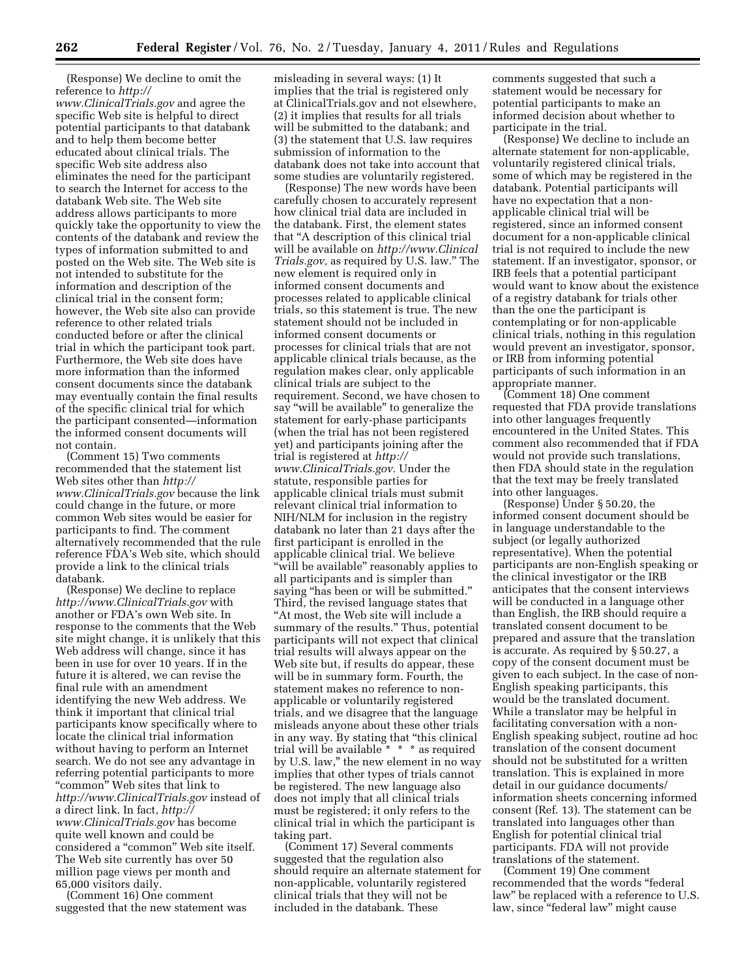(Response) We decline to omit the reference to *[http://](http://www.ClinicalTrials.gov)* 

*[www.ClinicalTrials.gov](http://www.ClinicalTrials.gov)* and agree the specific Web site is helpful to direct potential participants to that databank and to help them become better educated about clinical trials. The specific Web site address also eliminates the need for the participant to search the Internet for access to the databank Web site. The Web site address allows participants to more quickly take the opportunity to view the contents of the databank and review the types of information submitted to and posted on the Web site. The Web site is not intended to substitute for the information and description of the clinical trial in the consent form; however, the Web site also can provide reference to other related trials conducted before or after the clinical trial in which the participant took part. Furthermore, the Web site does have more information than the informed consent documents since the databank may eventually contain the final results of the specific clinical trial for which the participant consented—information the informed consent documents will not contain.

(Comment 15) Two comments recommended that the statement list Web sites other than *[http://](http://www.ClinicalTrials.gov) [www.ClinicalTrials.gov](http://www.ClinicalTrials.gov)* because the link could change in the future, or more common Web sites would be easier for participants to find. The comment alternatively recommended that the rule reference FDA's Web site, which should provide a link to the clinical trials databank.

(Response) We decline to replace *<http://www.ClinicalTrials.gov>*with another or FDA's own Web site. In response to the comments that the Web site might change, it is unlikely that this Web address will change, since it has been in use for over 10 years. If in the future it is altered, we can revise the final rule with an amendment identifying the new Web address. We think it important that clinical trial participants know specifically where to locate the clinical trial information without having to perform an Internet search. We do not see any advantage in referring potential participants to more "common" Web sites that link to *<http://www.ClinicalTrials.gov>*instead of a direct link. In fact, *[http://](http://www.ClinicalTrials.gov) [www.ClinicalTrials.gov](http://www.ClinicalTrials.gov)* has become quite well known and could be considered a ''common'' Web site itself. The Web site currently has over 50 million page views per month and 65,000 visitors daily.

(Comment 16) One comment suggested that the new statement was misleading in several ways: (1) It implies that the trial is registered only at ClinicalTrials.gov and not elsewhere, (2) it implies that results for all trials will be submitted to the databank; and (3) the statement that U.S. law requires submission of information to the databank does not take into account that some studies are voluntarily registered.

(Response) The new words have been carefully chosen to accurately represent how clinical trial data are included in the databank. First, the element states that ''A description of this clinical trial will be available on *[http://www.Clinical](http://www.ClinicalTrials.gov) [Trials.gov,](http://www.ClinicalTrials.gov)* as required by U.S. law.'' The new element is required only in informed consent documents and processes related to applicable clinical trials, so this statement is true. The new statement should not be included in informed consent documents or processes for clinical trials that are not applicable clinical trials because, as the regulation makes clear, only applicable clinical trials are subject to the requirement. Second, we have chosen to say ''will be available'' to generalize the statement for early-phase participants (when the trial has not been registered yet) and participants joining after the trial is registered at *[http://](http://www.ClinicalTrials.gov) [www.ClinicalTrials.gov.](http://www.ClinicalTrials.gov)* Under the statute, responsible parties for applicable clinical trials must submit relevant clinical trial information to NIH/NLM for inclusion in the registry databank no later than 21 days after the first participant is enrolled in the applicable clinical trial. We believe ''will be available'' reasonably applies to all participants and is simpler than saying "has been or will be submitted." Third, the revised language states that ''At most, the Web site will include a summary of the results.'' Thus, potential participants will not expect that clinical trial results will always appear on the Web site but, if results do appear, these will be in summary form. Fourth, the statement makes no reference to nonapplicable or voluntarily registered trials, and we disagree that the language misleads anyone about these other trials in any way. By stating that ''this clinical trial will be available \* \* \* as required by U.S. law,'' the new element in no way implies that other types of trials cannot be registered. The new language also does not imply that all clinical trials must be registered; it only refers to the clinical trial in which the participant is taking part.

(Comment 17) Several comments suggested that the regulation also should require an alternate statement for non-applicable, voluntarily registered clinical trials that they will not be included in the databank. These

comments suggested that such a statement would be necessary for potential participants to make an informed decision about whether to participate in the trial.

(Response) We decline to include an alternate statement for non-applicable, voluntarily registered clinical trials, some of which may be registered in the databank. Potential participants will have no expectation that a nonapplicable clinical trial will be registered, since an informed consent document for a non-applicable clinical trial is not required to include the new statement. If an investigator, sponsor, or IRB feels that a potential participant would want to know about the existence of a registry databank for trials other than the one the participant is contemplating or for non-applicable clinical trials, nothing in this regulation would prevent an investigator, sponsor, or IRB from informing potential participants of such information in an appropriate manner.

(Comment 18) One comment requested that FDA provide translations into other languages frequently encountered in the United States. This comment also recommended that if FDA would not provide such translations, then FDA should state in the regulation that the text may be freely translated into other languages.

(Response) Under § 50.20, the informed consent document should be in language understandable to the subject (or legally authorized representative). When the potential participants are non-English speaking or the clinical investigator or the IRB anticipates that the consent interviews will be conducted in a language other than English, the IRB should require a translated consent document to be prepared and assure that the translation is accurate. As required by § 50.27, a copy of the consent document must be given to each subject. In the case of non-English speaking participants, this would be the translated document. While a translator may be helpful in facilitating conversation with a non-English speaking subject, routine ad hoc translation of the consent document should not be substituted for a written translation. This is explained in more detail in our guidance documents/ information sheets concerning informed consent (Ref. 13). The statement can be translated into languages other than English for potential clinical trial participants. FDA will not provide translations of the statement.

(Comment 19) One comment recommended that the words ''federal law'' be replaced with a reference to U.S. law, since "federal law" might cause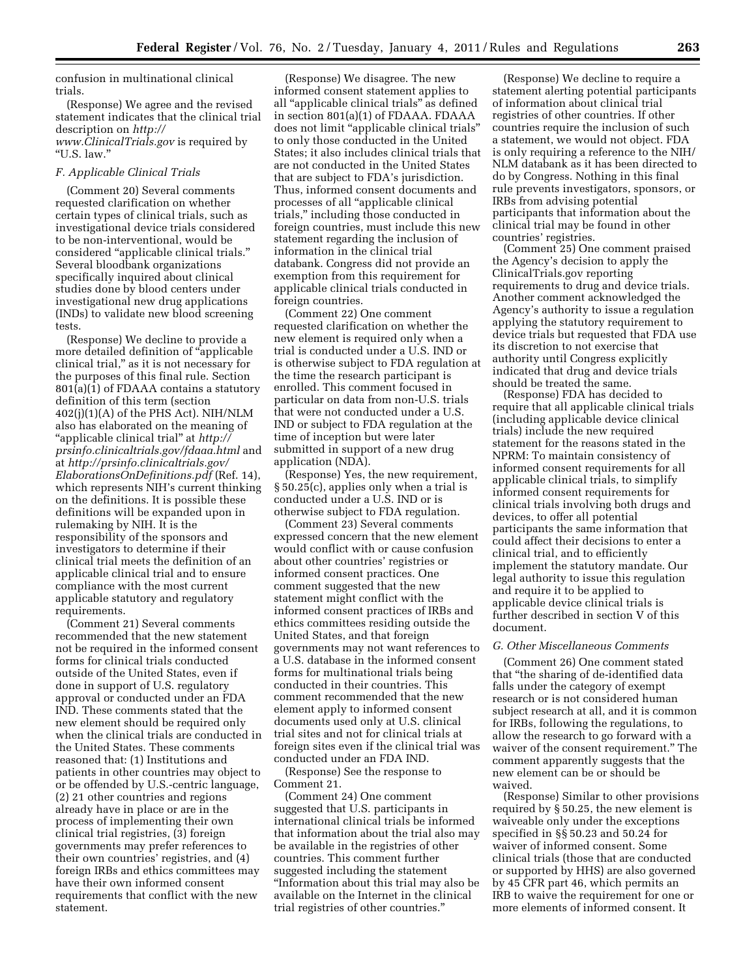confusion in multinational clinical trials.

(Response) We agree and the revised statement indicates that the clinical trial description on *[http://](http://www.ClinicalTrials.gov)  [www.ClinicalTrials.gov](http://www.ClinicalTrials.gov)* is required by

# *F. Applicable Clinical Trials*

''U.S. law.''

(Comment 20) Several comments requested clarification on whether certain types of clinical trials, such as investigational device trials considered to be non-interventional, would be considered ''applicable clinical trials.'' Several bloodbank organizations specifically inquired about clinical studies done by blood centers under investigational new drug applications (INDs) to validate new blood screening tests.

(Response) We decline to provide a more detailed definition of ''applicable clinical trial,'' as it is not necessary for the purposes of this final rule. Section 801(a)(1) of FDAAA contains a statutory definition of this term (section 402(j)(1)(A) of the PHS Act). NIH/NLM also has elaborated on the meaning of ''applicable clinical trial'' at *[http://](http://prsinfo.clinicaltrials.gov/fdaaa.html) [prsinfo.clinicaltrials.gov/fdaaa.html](http://prsinfo.clinicaltrials.gov/fdaaa.html)* and at *[http://prsinfo.clinicaltrials.gov/](http://prsinfo.clinicaltrials.gov/ElaborationsOnDefinitions.pdf) [ElaborationsOnDefinitions.pdf](http://prsinfo.clinicaltrials.gov/ElaborationsOnDefinitions.pdf)* (Ref. 14), which represents NIH's current thinking on the definitions. It is possible these definitions will be expanded upon in rulemaking by NIH. It is the responsibility of the sponsors and investigators to determine if their clinical trial meets the definition of an applicable clinical trial and to ensure compliance with the most current applicable statutory and regulatory requirements.

(Comment 21) Several comments recommended that the new statement not be required in the informed consent forms for clinical trials conducted outside of the United States, even if done in support of U.S. regulatory approval or conducted under an FDA IND. These comments stated that the new element should be required only when the clinical trials are conducted in the United States. These comments reasoned that: (1) Institutions and patients in other countries may object to or be offended by U.S.-centric language, (2) 21 other countries and regions already have in place or are in the process of implementing their own clinical trial registries, (3) foreign governments may prefer references to their own countries' registries, and (4) foreign IRBs and ethics committees may have their own informed consent requirements that conflict with the new statement.

(Response) We disagree. The new informed consent statement applies to all ''applicable clinical trials'' as defined in section 801(a)(1) of FDAAA. FDAAA does not limit ''applicable clinical trials'' to only those conducted in the United States; it also includes clinical trials that are not conducted in the United States that are subject to FDA's jurisdiction. Thus, informed consent documents and processes of all ''applicable clinical trials,'' including those conducted in foreign countries, must include this new statement regarding the inclusion of information in the clinical trial databank. Congress did not provide an exemption from this requirement for applicable clinical trials conducted in foreign countries.

(Comment 22) One comment requested clarification on whether the new element is required only when a trial is conducted under a U.S. IND or is otherwise subject to FDA regulation at the time the research participant is enrolled. This comment focused in particular on data from non-U.S. trials that were not conducted under a U.S. IND or subject to FDA regulation at the time of inception but were later submitted in support of a new drug application (NDA).

(Response) Yes, the new requirement, § 50.25(c), applies only when a trial is conducted under a U.S. IND or is otherwise subject to FDA regulation.

(Comment 23) Several comments expressed concern that the new element would conflict with or cause confusion about other countries' registries or informed consent practices. One comment suggested that the new statement might conflict with the informed consent practices of IRBs and ethics committees residing outside the United States, and that foreign governments may not want references to a U.S. database in the informed consent forms for multinational trials being conducted in their countries. This comment recommended that the new element apply to informed consent documents used only at U.S. clinical trial sites and not for clinical trials at foreign sites even if the clinical trial was conducted under an FDA IND.

(Response) See the response to Comment 21.

(Comment 24) One comment suggested that U.S. participants in international clinical trials be informed that information about the trial also may be available in the registries of other countries. This comment further suggested including the statement ''Information about this trial may also be available on the Internet in the clinical trial registries of other countries.''

(Response) We decline to require a statement alerting potential participants of information about clinical trial registries of other countries. If other countries require the inclusion of such a statement, we would not object. FDA is only requiring a reference to the NIH/ NLM databank as it has been directed to do by Congress. Nothing in this final rule prevents investigators, sponsors, or IRBs from advising potential participants that information about the clinical trial may be found in other countries' registries.

(Comment 25) One comment praised the Agency's decision to apply the ClinicalTrials.gov reporting requirements to drug and device trials. Another comment acknowledged the Agency's authority to issue a regulation applying the statutory requirement to device trials but requested that FDA use its discretion to not exercise that authority until Congress explicitly indicated that drug and device trials should be treated the same.

(Response) FDA has decided to require that all applicable clinical trials (including applicable device clinical trials) include the new required statement for the reasons stated in the NPRM: To maintain consistency of informed consent requirements for all applicable clinical trials, to simplify informed consent requirements for clinical trials involving both drugs and devices, to offer all potential participants the same information that could affect their decisions to enter a clinical trial, and to efficiently implement the statutory mandate. Our legal authority to issue this regulation and require it to be applied to applicable device clinical trials is further described in section V of this document.

## *G. Other Miscellaneous Comments*

(Comment 26) One comment stated that ''the sharing of de-identified data falls under the category of exempt research or is not considered human subject research at all, and it is common for IRBs, following the regulations, to allow the research to go forward with a waiver of the consent requirement.'' The comment apparently suggests that the new element can be or should be waived.

(Response) Similar to other provisions required by § 50.25, the new element is waiveable only under the exceptions specified in §§ 50.23 and 50.24 for waiver of informed consent. Some clinical trials (those that are conducted or supported by HHS) are also governed by 45 CFR part 46, which permits an IRB to waive the requirement for one or more elements of informed consent. It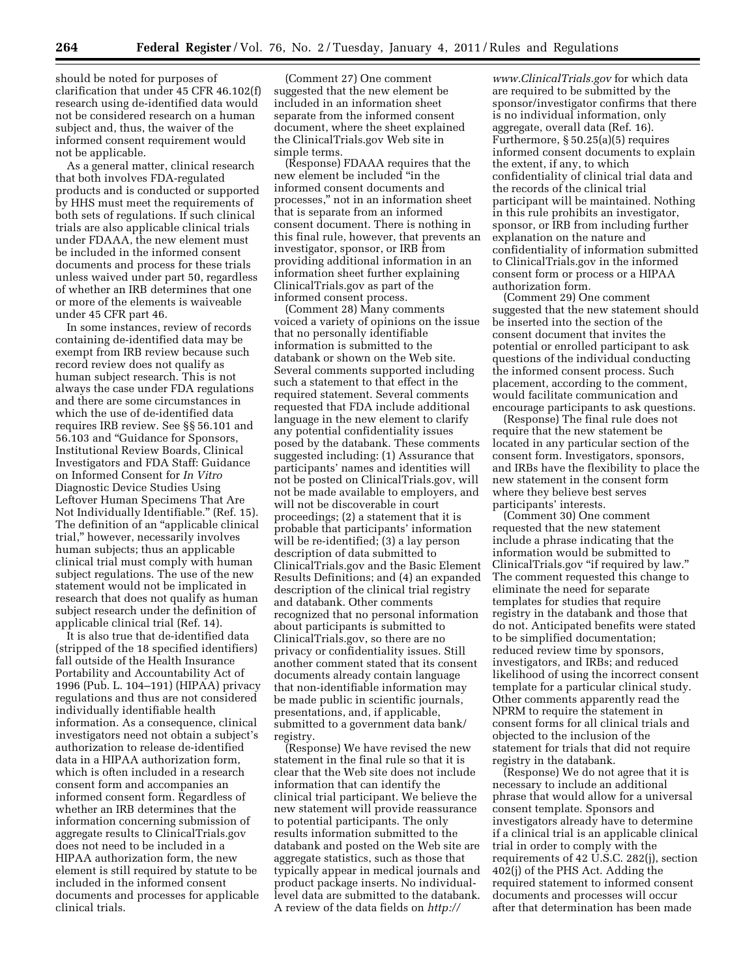should be noted for purposes of clarification that under 45 CFR 46.102(f) research using de-identified data would not be considered research on a human subject and, thus, the waiver of the informed consent requirement would not be applicable.

As a general matter, clinical research that both involves FDA-regulated products and is conducted or supported by HHS must meet the requirements of both sets of regulations. If such clinical trials are also applicable clinical trials under FDAAA, the new element must be included in the informed consent documents and process for these trials unless waived under part 50, regardless of whether an IRB determines that one or more of the elements is waiveable under 45 CFR part 46.

In some instances, review of records containing de-identified data may be exempt from IRB review because such record review does not qualify as human subject research. This is not always the case under FDA regulations and there are some circumstances in which the use of de-identified data requires IRB review. See §§ 56.101 and 56.103 and ''Guidance for Sponsors, Institutional Review Boards, Clinical Investigators and FDA Staff: Guidance on Informed Consent for *In Vitro*  Diagnostic Device Studies Using Leftover Human Specimens That Are Not Individually Identifiable.'' (Ref. 15). The definition of an ''applicable clinical trial,'' however, necessarily involves human subjects; thus an applicable clinical trial must comply with human subject regulations. The use of the new statement would not be implicated in research that does not qualify as human subject research under the definition of applicable clinical trial (Ref. 14).

It is also true that de-identified data (stripped of the 18 specified identifiers) fall outside of the Health Insurance Portability and Accountability Act of 1996 (Pub. L. 104–191) (HIPAA) privacy regulations and thus are not considered individually identifiable health information. As a consequence, clinical investigators need not obtain a subject's authorization to release de-identified data in a HIPAA authorization form, which is often included in a research consent form and accompanies an informed consent form. Regardless of whether an IRB determines that the information concerning submission of aggregate results to ClinicalTrials.gov does not need to be included in a HIPAA authorization form, the new element is still required by statute to be included in the informed consent documents and processes for applicable clinical trials.

(Comment 27) One comment suggested that the new element be included in an information sheet separate from the informed consent document, where the sheet explained the ClinicalTrials.gov Web site in simple terms.

(Response) FDAAA requires that the new element be included ''in the informed consent documents and processes,'' not in an information sheet that is separate from an informed consent document. There is nothing in this final rule, however, that prevents an investigator, sponsor, or IRB from providing additional information in an information sheet further explaining ClinicalTrials.gov as part of the informed consent process.

(Comment 28) Many comments voiced a variety of opinions on the issue that no personally identifiable information is submitted to the databank or shown on the Web site. Several comments supported including such a statement to that effect in the required statement. Several comments requested that FDA include additional language in the new element to clarify any potential confidentiality issues posed by the databank. These comments suggested including: (1) Assurance that participants' names and identities will not be posted on ClinicalTrials.gov, will not be made available to employers, and will not be discoverable in court proceedings; (2) a statement that it is probable that participants' information will be re-identified; (3) a lay person description of data submitted to ClinicalTrials.gov and the Basic Element Results Definitions; and (4) an expanded description of the clinical trial registry and databank. Other comments recognized that no personal information about participants is submitted to ClinicalTrials.gov, so there are no privacy or confidentiality issues. Still another comment stated that its consent documents already contain language that non-identifiable information may be made public in scientific journals, presentations, and, if applicable, submitted to a government data bank/ registry.

(Response) We have revised the new statement in the final rule so that it is clear that the Web site does not include information that can identify the clinical trial participant. We believe the new statement will provide reassurance to potential participants. The only results information submitted to the databank and posted on the Web site are aggregate statistics, such as those that typically appear in medical journals and product package inserts. No individuallevel data are submitted to the databank. A review of the data fields on *[http://](http://www.ClinicalTrials.gov)* 

*[www.ClinicalTrials.gov](http://www.ClinicalTrials.gov)* for which data are required to be submitted by the sponsor/investigator confirms that there is no individual information, only aggregate, overall data (Ref. 16). Furthermore, § 50.25(a)(5) requires informed consent documents to explain the extent, if any, to which confidentiality of clinical trial data and the records of the clinical trial participant will be maintained. Nothing in this rule prohibits an investigator, sponsor, or IRB from including further explanation on the nature and confidentiality of information submitted to ClinicalTrials.gov in the informed consent form or process or a HIPAA authorization form.

(Comment 29) One comment suggested that the new statement should be inserted into the section of the consent document that invites the potential or enrolled participant to ask questions of the individual conducting the informed consent process. Such placement, according to the comment, would facilitate communication and encourage participants to ask questions.

(Response) The final rule does not require that the new statement be located in any particular section of the consent form. Investigators, sponsors, and IRBs have the flexibility to place the new statement in the consent form where they believe best serves participants' interests.

(Comment 30) One comment requested that the new statement include a phrase indicating that the information would be submitted to ClinicalTrials.gov "if required by law." The comment requested this change to eliminate the need for separate templates for studies that require registry in the databank and those that do not. Anticipated benefits were stated to be simplified documentation; reduced review time by sponsors, investigators, and IRBs; and reduced likelihood of using the incorrect consent template for a particular clinical study. Other comments apparently read the NPRM to require the statement in consent forms for all clinical trials and objected to the inclusion of the statement for trials that did not require registry in the databank.

(Response) We do not agree that it is necessary to include an additional phrase that would allow for a universal consent template. Sponsors and investigators already have to determine if a clinical trial is an applicable clinical trial in order to comply with the requirements of 42 U.S.C. 282(j), section 402(j) of the PHS Act. Adding the required statement to informed consent documents and processes will occur after that determination has been made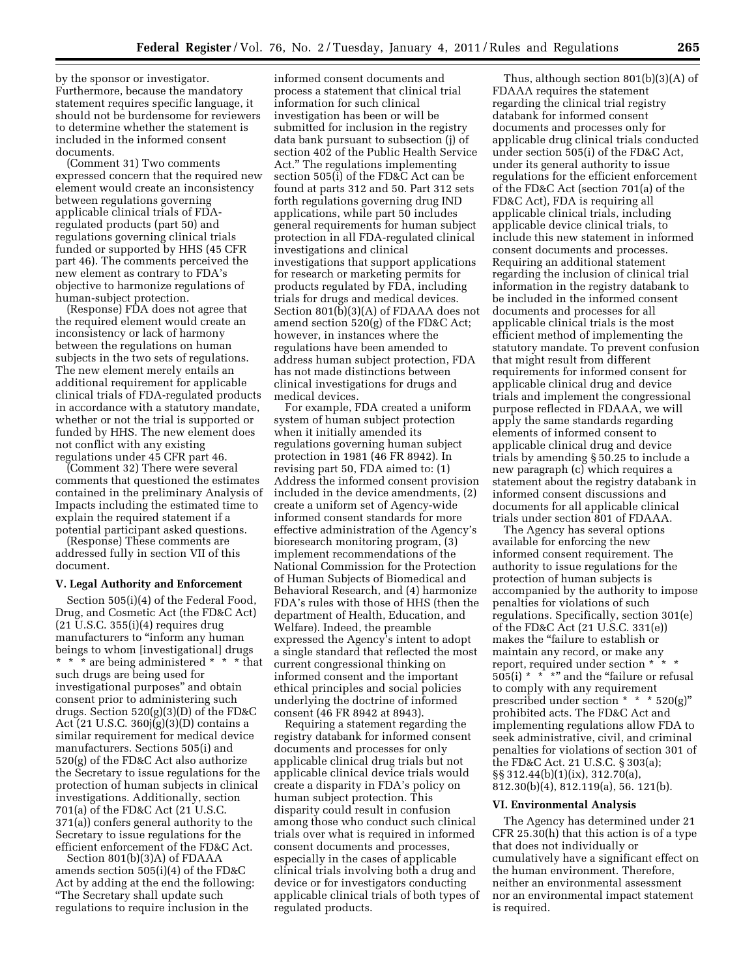by the sponsor or investigator. Furthermore, because the mandatory statement requires specific language, it should not be burdensome for reviewers to determine whether the statement is included in the informed consent documents.

(Comment 31) Two comments expressed concern that the required new element would create an inconsistency between regulations governing applicable clinical trials of FDAregulated products (part 50) and regulations governing clinical trials funded or supported by HHS (45 CFR part 46). The comments perceived the new element as contrary to FDA's objective to harmonize regulations of human-subject protection.

(Response) FDA does not agree that the required element would create an inconsistency or lack of harmony between the regulations on human subjects in the two sets of regulations. The new element merely entails an additional requirement for applicable clinical trials of FDA-regulated products in accordance with a statutory mandate, whether or not the trial is supported or funded by HHS. The new element does not conflict with any existing regulations under 45 CFR part 46.

(Comment 32) There were several comments that questioned the estimates contained in the preliminary Analysis of Impacts including the estimated time to explain the required statement if a potential participant asked questions.

(Response) These comments are addressed fully in section VII of this document.

#### **V. Legal Authority and Enforcement**

Section 505(i)(4) of the Federal Food, Drug, and Cosmetic Act (the FD&C Act) (21 U.S.C. 355(i)(4) requires drug manufacturers to "inform any human beings to whom [investigational] drugs \* \* \* are being administered \* \* \* that such drugs are being used for investigational purposes'' and obtain consent prior to administering such drugs. Section 520(g)(3)(D) of the FD&C Act (21 U.S.C. 360j(g)(3)(D) contains a similar requirement for medical device manufacturers. Sections 505(i) and 520(g) of the FD&C Act also authorize the Secretary to issue regulations for the protection of human subjects in clinical investigations. Additionally, section 701(a) of the FD&C Act (21 U.S.C. 371(a)) confers general authority to the Secretary to issue regulations for the efficient enforcement of the FD&C Act.

Section 801(b)(3)A) of FDAAA amends section 505(i)(4) of the FD&C Act by adding at the end the following: ''The Secretary shall update such regulations to require inclusion in the

informed consent documents and process a statement that clinical trial information for such clinical investigation has been or will be submitted for inclusion in the registry data bank pursuant to subsection (j) of section 402 of the Public Health Service Act.'' The regulations implementing section 505(i) of the FD&C Act can be found at parts 312 and 50. Part 312 sets forth regulations governing drug IND applications, while part 50 includes general requirements for human subject protection in all FDA-regulated clinical investigations and clinical investigations that support applications for research or marketing permits for products regulated by FDA, including trials for drugs and medical devices. Section 801(b)(3)(A) of FDAAA does not amend section 520(g) of the FD&C Act; however, in instances where the regulations have been amended to address human subject protection, FDA has not made distinctions between clinical investigations for drugs and medical devices.

For example, FDA created a uniform system of human subject protection when it initially amended its regulations governing human subject protection in 1981 (46 FR 8942). In revising part 50, FDA aimed to: (1) Address the informed consent provision included in the device amendments, (2) create a uniform set of Agency-wide informed consent standards for more effective administration of the Agency's bioresearch monitoring program, (3) implement recommendations of the National Commission for the Protection of Human Subjects of Biomedical and Behavioral Research, and (4) harmonize FDA's rules with those of HHS (then the department of Health, Education, and Welfare). Indeed, the preamble expressed the Agency's intent to adopt a single standard that reflected the most current congressional thinking on informed consent and the important ethical principles and social policies underlying the doctrine of informed consent (46 FR 8942 at 8943).

Requiring a statement regarding the registry databank for informed consent documents and processes for only applicable clinical drug trials but not applicable clinical device trials would create a disparity in FDA's policy on human subject protection. This disparity could result in confusion among those who conduct such clinical trials over what is required in informed consent documents and processes, especially in the cases of applicable clinical trials involving both a drug and device or for investigators conducting applicable clinical trials of both types of regulated products.

Thus, although section 801(b)(3)(A) of FDAAA requires the statement regarding the clinical trial registry databank for informed consent documents and processes only for applicable drug clinical trials conducted under section 505(i) of the FD&C Act, under its general authority to issue regulations for the efficient enforcement of the FD&C Act (section 701(a) of the FD&C Act), FDA is requiring all applicable clinical trials, including applicable device clinical trials, to include this new statement in informed consent documents and processes. Requiring an additional statement regarding the inclusion of clinical trial information in the registry databank to be included in the informed consent documents and processes for all applicable clinical trials is the most efficient method of implementing the statutory mandate. To prevent confusion that might result from different requirements for informed consent for applicable clinical drug and device trials and implement the congressional purpose reflected in FDAAA, we will apply the same standards regarding elements of informed consent to applicable clinical drug and device trials by amending § 50.25 to include a new paragraph (c) which requires a statement about the registry databank in informed consent discussions and documents for all applicable clinical trials under section 801 of FDAAA.

The Agency has several options available for enforcing the new informed consent requirement. The authority to issue regulations for the protection of human subjects is accompanied by the authority to impose penalties for violations of such regulations. Specifically, section 301(e) of the FD&C Act (21 U.S.C. 331(e)) makes the ''failure to establish or maintain any record, or make any report, required under section \* \* \*  $505(i)$  \* \* \*" and the "failure or refusal to comply with any requirement prescribed under section \* \* \* 520(g)'' prohibited acts. The FD&C Act and implementing regulations allow FDA to seek administrative, civil, and criminal penalties for violations of section 301 of the FD&C Act. 21 U.S.C. § 303(a); §§ 312.44(b)(1)(ix), 312.70(a), 812.30(b)(4), 812.119(a), 56. 121(b).

#### **VI. Environmental Analysis**

The Agency has determined under 21 CFR 25.30(h) that this action is of a type that does not individually or cumulatively have a significant effect on the human environment. Therefore, neither an environmental assessment nor an environmental impact statement is required.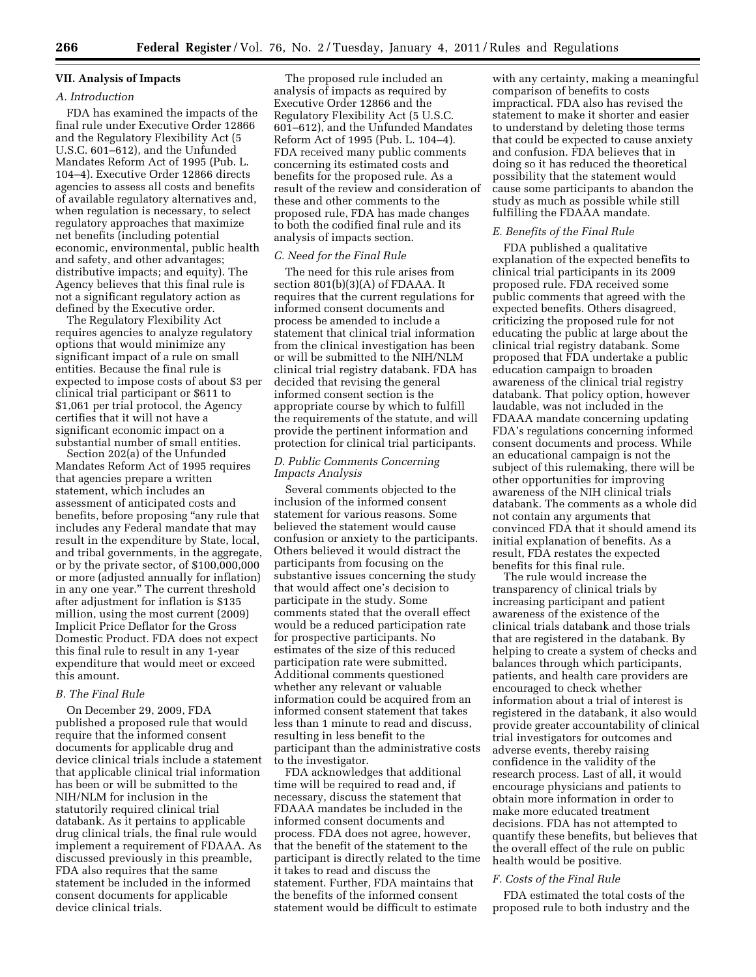# **VII. Analysis of Impacts**

## *A. Introduction*

FDA has examined the impacts of the final rule under Executive Order 12866 and the Regulatory Flexibility Act (5 U.S.C. 601–612), and the Unfunded Mandates Reform Act of 1995 (Pub. L. 104–4). Executive Order 12866 directs agencies to assess all costs and benefits of available regulatory alternatives and, when regulation is necessary, to select regulatory approaches that maximize net benefits (including potential economic, environmental, public health and safety, and other advantages; distributive impacts; and equity). The Agency believes that this final rule is not a significant regulatory action as defined by the Executive order.

The Regulatory Flexibility Act requires agencies to analyze regulatory options that would minimize any significant impact of a rule on small entities. Because the final rule is expected to impose costs of about \$3 per clinical trial participant or \$611 to \$1,061 per trial protocol, the Agency certifies that it will not have a significant economic impact on a substantial number of small entities.

Section 202(a) of the Unfunded Mandates Reform Act of 1995 requires that agencies prepare a written statement, which includes an assessment of anticipated costs and benefits, before proposing "any rule that includes any Federal mandate that may result in the expenditure by State, local, and tribal governments, in the aggregate, or by the private sector, of \$100,000,000 or more (adjusted annually for inflation) in any one year.'' The current threshold after adjustment for inflation is \$135 million, using the most current (2009) Implicit Price Deflator for the Gross Domestic Product. FDA does not expect this final rule to result in any 1-year expenditure that would meet or exceed this amount.

## *B. The Final Rule*

On December 29, 2009, FDA published a proposed rule that would require that the informed consent documents for applicable drug and device clinical trials include a statement that applicable clinical trial information has been or will be submitted to the NIH/NLM for inclusion in the statutorily required clinical trial databank. As it pertains to applicable drug clinical trials, the final rule would implement a requirement of FDAAA. As discussed previously in this preamble, FDA also requires that the same statement be included in the informed consent documents for applicable device clinical trials.

The proposed rule included an analysis of impacts as required by Executive Order 12866 and the Regulatory Flexibility Act (5 U.S.C. 601–612), and the Unfunded Mandates Reform Act of 1995 (Pub. L. 104–4). FDA received many public comments concerning its estimated costs and benefits for the proposed rule. As a result of the review and consideration of these and other comments to the proposed rule, FDA has made changes to both the codified final rule and its analysis of impacts section.

## *C. Need for the Final Rule*

The need for this rule arises from section 801(b)(3)(A) of FDAAA. It requires that the current regulations for informed consent documents and process be amended to include a statement that clinical trial information from the clinical investigation has been or will be submitted to the NIH/NLM clinical trial registry databank. FDA has decided that revising the general informed consent section is the appropriate course by which to fulfill the requirements of the statute, and will provide the pertinent information and protection for clinical trial participants.

## *D. Public Comments Concerning Impacts Analysis*

Several comments objected to the inclusion of the informed consent statement for various reasons. Some believed the statement would cause confusion or anxiety to the participants. Others believed it would distract the participants from focusing on the substantive issues concerning the study that would affect one's decision to participate in the study. Some comments stated that the overall effect would be a reduced participation rate for prospective participants. No estimates of the size of this reduced participation rate were submitted. Additional comments questioned whether any relevant or valuable information could be acquired from an informed consent statement that takes less than 1 minute to read and discuss, resulting in less benefit to the participant than the administrative costs to the investigator.

FDA acknowledges that additional time will be required to read and, if necessary, discuss the statement that FDAAA mandates be included in the informed consent documents and process. FDA does not agree, however, that the benefit of the statement to the participant is directly related to the time it takes to read and discuss the statement. Further, FDA maintains that the benefits of the informed consent statement would be difficult to estimate

with any certainty, making a meaningful comparison of benefits to costs impractical. FDA also has revised the statement to make it shorter and easier to understand by deleting those terms that could be expected to cause anxiety and confusion. FDA believes that in doing so it has reduced the theoretical possibility that the statement would cause some participants to abandon the study as much as possible while still fulfilling the FDAAA mandate.

## *E. Benefits of the Final Rule*

FDA published a qualitative explanation of the expected benefits to clinical trial participants in its 2009 proposed rule. FDA received some public comments that agreed with the expected benefits. Others disagreed, criticizing the proposed rule for not educating the public at large about the clinical trial registry databank. Some proposed that FDA undertake a public education campaign to broaden awareness of the clinical trial registry databank. That policy option, however laudable, was not included in the FDAAA mandate concerning updating FDA's regulations concerning informed consent documents and process. While an educational campaign is not the subject of this rulemaking, there will be other opportunities for improving awareness of the NIH clinical trials databank. The comments as a whole did not contain any arguments that convinced FDA that it should amend its initial explanation of benefits. As a result, FDA restates the expected benefits for this final rule.

The rule would increase the transparency of clinical trials by increasing participant and patient awareness of the existence of the clinical trials databank and those trials that are registered in the databank. By helping to create a system of checks and balances through which participants, patients, and health care providers are encouraged to check whether information about a trial of interest is registered in the databank, it also would provide greater accountability of clinical trial investigators for outcomes and adverse events, thereby raising confidence in the validity of the research process. Last of all, it would encourage physicians and patients to obtain more information in order to make more educated treatment decisions. FDA has not attempted to quantify these benefits, but believes that the overall effect of the rule on public health would be positive.

## *F. Costs of the Final Rule*

FDA estimated the total costs of the proposed rule to both industry and the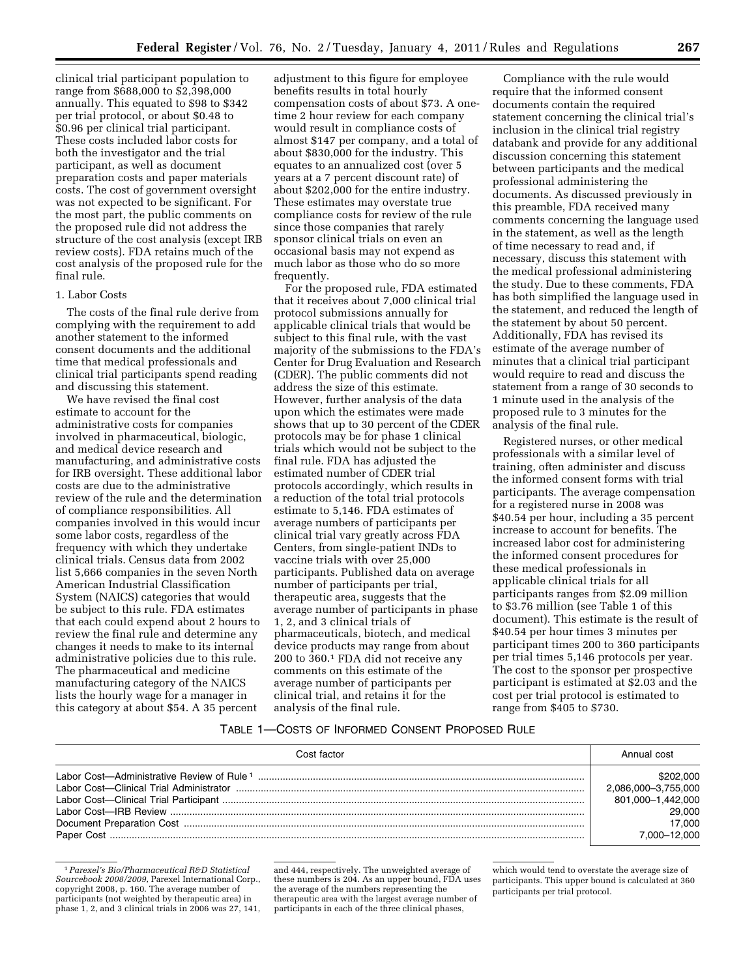clinical trial participant population to range from \$688,000 to \$2,398,000 annually. This equated to \$98 to \$342 per trial protocol, or about \$0.48 to \$0.96 per clinical trial participant. These costs included labor costs for both the investigator and the trial participant, as well as document preparation costs and paper materials costs. The cost of government oversight was not expected to be significant. For the most part, the public comments on the proposed rule did not address the structure of the cost analysis (except IRB review costs). FDA retains much of the cost analysis of the proposed rule for the final rule.

#### 1. Labor Costs

The costs of the final rule derive from complying with the requirement to add another statement to the informed consent documents and the additional time that medical professionals and clinical trial participants spend reading and discussing this statement.

We have revised the final cost estimate to account for the administrative costs for companies involved in pharmaceutical, biologic, and medical device research and manufacturing, and administrative costs for IRB oversight. These additional labor costs are due to the administrative review of the rule and the determination of compliance responsibilities. All companies involved in this would incur some labor costs, regardless of the frequency with which they undertake clinical trials. Census data from 2002 list 5,666 companies in the seven North American Industrial Classification System (NAICS) categories that would be subject to this rule. FDA estimates that each could expend about 2 hours to review the final rule and determine any changes it needs to make to its internal administrative policies due to this rule. The pharmaceutical and medicine manufacturing category of the NAICS lists the hourly wage for a manager in this category at about \$54. A 35 percent

adjustment to this figure for employee benefits results in total hourly compensation costs of about \$73. A onetime 2 hour review for each company would result in compliance costs of almost \$147 per company, and a total of about \$830,000 for the industry. This equates to an annualized cost (over 5 years at a 7 percent discount rate) of about \$202,000 for the entire industry. These estimates may overstate true compliance costs for review of the rule since those companies that rarely sponsor clinical trials on even an occasional basis may not expend as much labor as those who do so more frequently.

For the proposed rule, FDA estimated that it receives about 7,000 clinical trial protocol submissions annually for applicable clinical trials that would be subject to this final rule, with the vast majority of the submissions to the FDA's Center for Drug Evaluation and Research (CDER). The public comments did not address the size of this estimate. However, further analysis of the data upon which the estimates were made shows that up to 30 percent of the CDER protocols may be for phase 1 clinical trials which would not be subject to the final rule. FDA has adjusted the estimated number of CDER trial protocols accordingly, which results in a reduction of the total trial protocols estimate to 5,146. FDA estimates of average numbers of participants per clinical trial vary greatly across FDA Centers, from single-patient INDs to vaccine trials with over 25,000 participants. Published data on average number of participants per trial, therapeutic area, suggests that the average number of participants in phase 1, 2, and 3 clinical trials of pharmaceuticals, biotech, and medical device products may range from about 200 to 360.1 FDA did not receive any comments on this estimate of the average number of participants per clinical trial, and retains it for the analysis of the final rule.

Compliance with the rule would require that the informed consent documents contain the required statement concerning the clinical trial's inclusion in the clinical trial registry databank and provide for any additional discussion concerning this statement between participants and the medical professional administering the documents. As discussed previously in this preamble, FDA received many comments concerning the language used in the statement, as well as the length of time necessary to read and, if necessary, discuss this statement with the medical professional administering the study. Due to these comments, FDA has both simplified the language used in the statement, and reduced the length of the statement by about 50 percent. Additionally, FDA has revised its estimate of the average number of minutes that a clinical trial participant would require to read and discuss the statement from a range of 30 seconds to 1 minute used in the analysis of the proposed rule to 3 minutes for the analysis of the final rule.

Registered nurses, or other medical professionals with a similar level of training, often administer and discuss the informed consent forms with trial participants. The average compensation for a registered nurse in 2008 was \$40.54 per hour, including a 35 percent increase to account for benefits. The increased labor cost for administering the informed consent procedures for these medical professionals in applicable clinical trials for all participants ranges from \$2.09 million to \$3.76 million (see Table 1 of this document). This estimate is the result of \$40.54 per hour times 3 minutes per participant times 200 to 360 participants per trial times 5,146 protocols per year. The cost to the sponsor per prospective participant is estimated at \$2.03 and the cost per trial protocol is estimated to range from \$405 to \$730.

## TABLE 1—COSTS OF INFORMED CONSENT PROPOSED RULE

| Cost factor                                | Annual cost         |
|--------------------------------------------|---------------------|
| Labor Cost-Administrative Review of Rule 1 | \$202,000           |
|                                            | 2,086,000-3,755,000 |
|                                            | 801,000-1,442,000   |
|                                            | 29,000              |
|                                            | 17.000              |
|                                            | 7.000-12.000        |

<sup>1</sup>*Parexel's Bio/Pharmaceutical R&D Statistical Sourcebook 2008/2009,* Parexel International Corp., copyright 2008, p. 160. The average number of participants (not weighted by therapeutic area) in phase 1, 2, and 3 clinical trials in 2006 was 27, 141,

and 444, respectively. The unweighted average of these numbers is 204. As an upper bound, FDA uses the average of the numbers representing the therapeutic area with the largest average number of participants in each of the three clinical phases,

which would tend to overstate the average size of participants. This upper bound is calculated at 360 participants per trial protocol.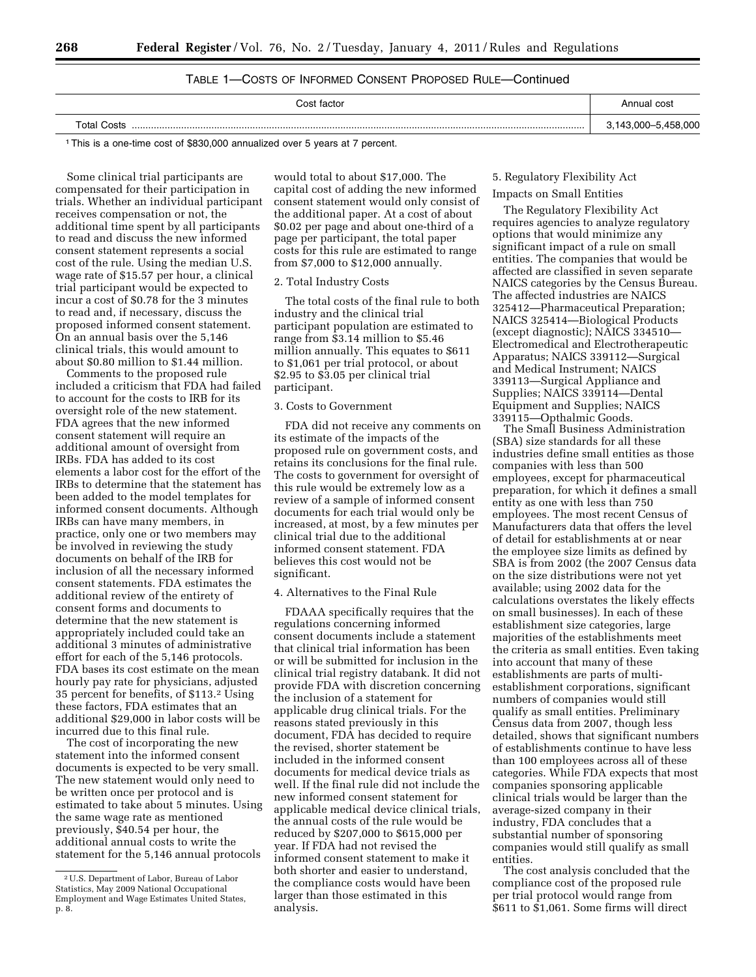# TABLE 1—COSTS OF INFORMED CONSENT PROPOSED RULE—Continued

| ∵ost factor | Annual cost |
|-------------|-------------|
| Total Costs | nnn         |
|             | ני וי       |

1This is a one-time cost of \$830,000 annualized over 5 years at 7 percent.

Some clinical trial participants are compensated for their participation in trials. Whether an individual participant receives compensation or not, the additional time spent by all participants to read and discuss the new informed consent statement represents a social cost of the rule. Using the median U.S. wage rate of \$15.57 per hour, a clinical trial participant would be expected to incur a cost of \$0.78 for the 3 minutes to read and, if necessary, discuss the proposed informed consent statement. On an annual basis over the 5,146 clinical trials, this would amount to about \$0.80 million to \$1.44 million.

Comments to the proposed rule included a criticism that FDA had failed to account for the costs to IRB for its oversight role of the new statement. FDA agrees that the new informed consent statement will require an additional amount of oversight from IRBs. FDA has added to its cost elements a labor cost for the effort of the IRBs to determine that the statement has been added to the model templates for informed consent documents. Although IRBs can have many members, in practice, only one or two members may be involved in reviewing the study documents on behalf of the IRB for inclusion of all the necessary informed consent statements. FDA estimates the additional review of the entirety of consent forms and documents to determine that the new statement is appropriately included could take an additional 3 minutes of administrative effort for each of the 5,146 protocols. FDA bases its cost estimate on the mean hourly pay rate for physicians, adjusted 35 percent for benefits, of \$113.2 Using these factors, FDA estimates that an additional \$29,000 in labor costs will be incurred due to this final rule.

The cost of incorporating the new statement into the informed consent documents is expected to be very small. The new statement would only need to be written once per protocol and is estimated to take about 5 minutes. Using the same wage rate as mentioned previously, \$40.54 per hour, the additional annual costs to write the statement for the 5,146 annual protocols

would total to about \$17,000. The capital cost of adding the new informed consent statement would only consist of the additional paper. At a cost of about \$0.02 per page and about one-third of a page per participant, the total paper costs for this rule are estimated to range from \$7,000 to \$12,000 annually.

#### 2. Total Industry Costs

The total costs of the final rule to both industry and the clinical trial participant population are estimated to range from \$3.14 million to \$5.46 million annually. This equates to \$611 to \$1,061 per trial protocol, or about \$2.95 to \$3.05 per clinical trial participant.

#### 3. Costs to Government

FDA did not receive any comments on its estimate of the impacts of the proposed rule on government costs, and retains its conclusions for the final rule. The costs to government for oversight of this rule would be extremely low as a review of a sample of informed consent documents for each trial would only be increased, at most, by a few minutes per clinical trial due to the additional informed consent statement. FDA believes this cost would not be significant.

## 4. Alternatives to the Final Rule

FDAAA specifically requires that the regulations concerning informed consent documents include a statement that clinical trial information has been or will be submitted for inclusion in the clinical trial registry databank. It did not provide FDA with discretion concerning the inclusion of a statement for applicable drug clinical trials. For the reasons stated previously in this document, FDA has decided to require the revised, shorter statement be included in the informed consent documents for medical device trials as well. If the final rule did not include the new informed consent statement for applicable medical device clinical trials, the annual costs of the rule would be reduced by \$207,000 to \$615,000 per year. If FDA had not revised the informed consent statement to make it both shorter and easier to understand, the compliance costs would have been larger than those estimated in this analysis.

## 5. Regulatory Flexibility Act

# Impacts on Small Entities

The Regulatory Flexibility Act requires agencies to analyze regulatory options that would minimize any significant impact of a rule on small entities. The companies that would be affected are classified in seven separate NAICS categories by the Census Bureau. The affected industries are NAICS 325412—Pharmaceutical Preparation; NAICS 325414—Biological Products (except diagnostic); NAICS 334510— Electromedical and Electrotherapeutic Apparatus; NAICS 339112—Surgical and Medical Instrument; NAICS 339113—Surgical Appliance and Supplies; NAICS 339114—Dental Equipment and Supplies; NAICS 339115—Opthalmic Goods.

The Small Business Administration (SBA) size standards for all these industries define small entities as those companies with less than 500 employees, except for pharmaceutical preparation, for which it defines a small entity as one with less than 750 employees. The most recent Census of Manufacturers data that offers the level of detail for establishments at or near the employee size limits as defined by SBA is from 2002 (the 2007 Census data on the size distributions were not yet available; using 2002 data for the calculations overstates the likely effects on small businesses). In each of these establishment size categories, large majorities of the establishments meet the criteria as small entities. Even taking into account that many of these establishments are parts of multiestablishment corporations, significant numbers of companies would still qualify as small entities. Preliminary Census data from 2007, though less detailed, shows that significant numbers of establishments continue to have less than 100 employees across all of these categories. While FDA expects that most companies sponsoring applicable clinical trials would be larger than the average-sized company in their industry, FDA concludes that a substantial number of sponsoring companies would still qualify as small entities.

The cost analysis concluded that the compliance cost of the proposed rule per trial protocol would range from \$611 to \$1,061. Some firms will direct

<sup>2</sup>U.S. Department of Labor, Bureau of Labor Statistics, May 2009 National Occupational Employment and Wage Estimates United States, p. 8.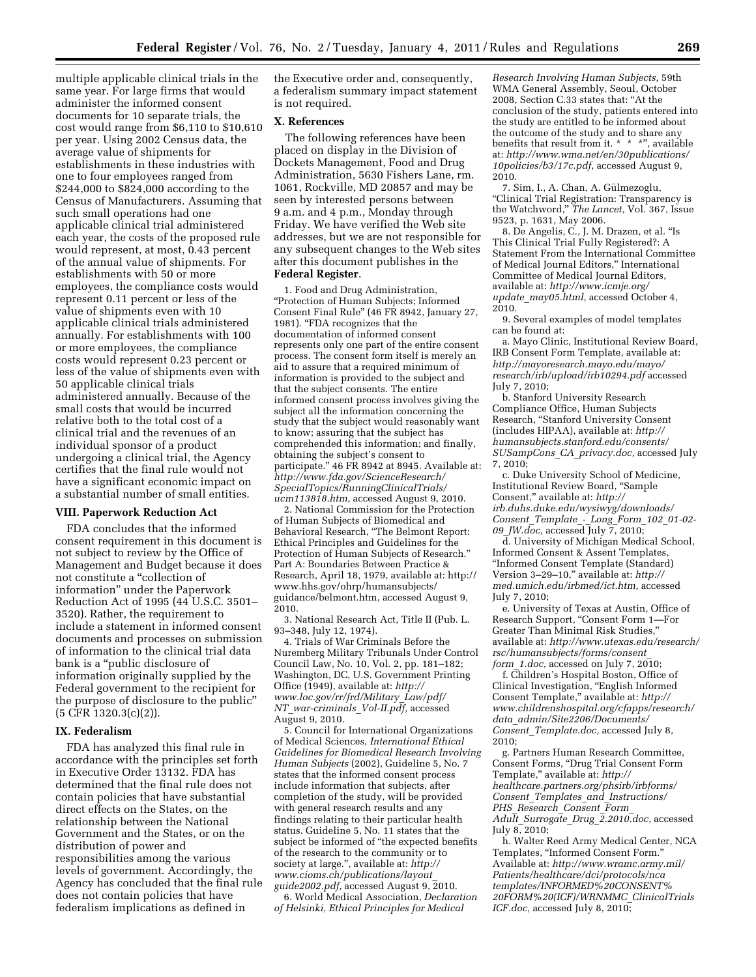multiple applicable clinical trials in the same year. For large firms that would administer the informed consent documents for 10 separate trials, the cost would range from \$6,110 to \$10,610 per year. Using 2002 Census data, the average value of shipments for establishments in these industries with one to four employees ranged from \$244,000 to \$824,000 according to the Census of Manufacturers. Assuming that such small operations had one applicable clinical trial administered each year, the costs of the proposed rule would represent, at most, 0.43 percent of the annual value of shipments. For establishments with 50 or more employees, the compliance costs would represent 0.11 percent or less of the value of shipments even with 10 applicable clinical trials administered annually. For establishments with 100 or more employees, the compliance costs would represent 0.23 percent or less of the value of shipments even with 50 applicable clinical trials administered annually. Because of the small costs that would be incurred relative both to the total cost of a clinical trial and the revenues of an individual sponsor of a product undergoing a clinical trial, the Agency certifies that the final rule would not have a significant economic impact on a substantial number of small entities.

## **VIII. Paperwork Reduction Act**

FDA concludes that the informed consent requirement in this document is not subject to review by the Office of Management and Budget because it does not constitute a ''collection of information'' under the Paperwork Reduction Act of 1995 (44 U.S.C. 3501– 3520). Rather, the requirement to include a statement in informed consent documents and processes on submission of information to the clinical trial data bank is a ''public disclosure of information originally supplied by the Federal government to the recipient for the purpose of disclosure to the public'' (5 CFR 1320.3(c)(2)).

#### **IX. Federalism**

FDA has analyzed this final rule in accordance with the principles set forth in Executive Order 13132. FDA has determined that the final rule does not contain policies that have substantial direct effects on the States, on the relationship between the National Government and the States, or on the distribution of power and responsibilities among the various levels of government. Accordingly, the Agency has concluded that the final rule does not contain policies that have federalism implications as defined in

the Executive order and, consequently, a federalism summary impact statement is not required.

## **X. References**

The following references have been placed on display in the Division of Dockets Management, Food and Drug Administration, 5630 Fishers Lane, rm. 1061, Rockville, MD 20857 and may be seen by interested persons between 9 a.m. and 4 p.m., Monday through Friday. We have verified the Web site addresses, but we are not responsible for any subsequent changes to the Web sites after this document publishes in the **Federal Register**.

1. Food and Drug Administration, ''Protection of Human Subjects; Informed Consent Final Rule'' (46 FR 8942, January 27, 1981). ''FDA recognizes that the documentation of informed consent represents only one part of the entire consent process. The consent form itself is merely an aid to assure that a required minimum of information is provided to the subject and that the subject consents. The entire informed consent process involves giving the subject all the information concerning the study that the subject would reasonably want to know; assuring that the subject has comprehended this information; and finally, obtaining the subject's consent to participate.'' 46 FR 8942 at 8945. Available at: *[http://www.fda.gov/ScienceResearch/](http://www.fda.gov/ScienceResearch/SpecialTopics/RunningClinicalTrials/ucm113818.htm) [SpecialTopics/RunningClinicalTrials/](http://www.fda.gov/ScienceResearch/SpecialTopics/RunningClinicalTrials/ucm113818.htm) [ucm113818.htm](http://www.fda.gov/ScienceResearch/SpecialTopics/RunningClinicalTrials/ucm113818.htm)*, accessed August 9, 2010.

2. National Commission for the Protection of Human Subjects of Biomedical and Behavioral Research, ''The Belmont Report: Ethical Principles and Guidelines for the Protection of Human Subjects of Research.'' Part A: Boundaries Between Practice & [Research, April 18, 1979, available at: http://](http://www.hhs.gov/ohrp/humansubjects/guidance/belmont.htm)  www.hhs.gov/ohrp/humansubjects/ guidance/belmont.htm, accessed August 9, 2010.

3. National Research Act, Title II (Pub. L. 93–348, July 12, 1974).

4. Trials of War Criminals Before the Nuremberg Military Tribunals Under Control Council Law, No. 10, Vol. 2, pp. 181–182; Washington, DC, U.S. Government Printing Office (1949), available at: *[http://](http://www.loc.gov/rr/frd/Military_Law/pdf/NT_war-criminals_Vol-II.pdf)  [www.loc.gov/rr/frd/Military](http://www.loc.gov/rr/frd/Military_Law/pdf/NT_war-criminals_Vol-II.pdf)*\_*Law/pdf/ NT*\_*[war-criminals](http://www.loc.gov/rr/frd/Military_Law/pdf/NT_war-criminals_Vol-II.pdf)*\_*Vol-II.pdf,* accessed August 9, 2010.

5. Council for International Organizations of Medical Sciences, *International Ethical Guidelines for Biomedical Research Involving Human Subjects* (2002), Guideline 5, No. 7 states that the informed consent process include information that subjects, after completion of the study, will be provided with general research results and any findings relating to their particular health status. Guideline 5, No. 11 states that the subject be informed of ''the expected benefits of the research to the community or to society at large.'', available at: *[http://](http://www.cioms.ch/publications/layout_guide2002.pdf) [www.cioms.ch/publications/layout](http://www.cioms.ch/publications/layout_guide2002.pdf)*\_ *[guide2002.pdf,](http://www.cioms.ch/publications/layout_guide2002.pdf)* accessed August 9, 2010.

6. World Medical Association, *Declaration of Helsinki, Ethical Principles for Medical* 

*Research Involving Human Subjects,* 59th WMA General Assembly, Seoul, October 2008, Section C.33 states that: ''At the conclusion of the study, patients entered into the study are entitled to be informed about the outcome of the study and to share any benefits that result from it. \* \* \*'', available at: *[http://www.wma.net/en/30publications/](http://www.wma.net/en/30publications/10policies/b3/17c.pdf) [10policies/b3/17c.pdf](http://www.wma.net/en/30publications/10policies/b3/17c.pdf)*, accessed August 9, 2010.

7. Sim, I., A. Chan, A. Gülmezoglu, ''Clinical Trial Registration: Transparency is the Watchword,'' *The Lancet,* Vol. 367, Issue 9523, p. 1631, May 2006.

8. De Angelis, C., J. M. Drazen, et al. ''Is This Clinical Trial Fully Registered?: A Statement From the International Committee of Medical Journal Editors,'' International Committee of Medical Journal Editors, available at: *[http://www.icmje.org/](http://www.icmje.org/update_may05.html)  update*\_*[may05.html](http://www.icmje.org/update_may05.html)*, accessed October 4, 2010.

9. Several examples of model templates can be found at:

a. Mayo Clinic, Institutional Review Board, IRB Consent Form Template, available at: *[http://mayoresearch.mayo.edu/mayo/](http://mayoresearch.mayo.edu/mayo/research/irb/upload/irb10294.pdf)  [research/irb/upload/irb10294.pdf](http://mayoresearch.mayo.edu/mayo/research/irb/upload/irb10294.pdf)* accessed July 7, 2010;

b. Stanford University Research Compliance Office, Human Subjects Research, ''Stanford University Consent (includes HIPAA), available at: *[http://](http://humansubjects.stanford.edu/consents/SUSampCons_CA_privacy.doc) [humansubjects.stanford.edu/consents/](http://humansubjects.stanford.edu/consents/SUSampCons_CA_privacy.doc)  [SUSampCons](http://humansubjects.stanford.edu/consents/SUSampCons_CA_privacy.doc)*\_*CA*\_*privacy.doc,* accessed July 7, 2010;

c. Duke University School of Medicine, Institutional Review Board, ''Sample Consent,'' available at: *[http://](http://irb.duhs.duke.edu/wysiwyg/downloads/Consent_Template_-_Long_Form_102_01-02-09_JW.doc) [irb.duhs.duke.edu/wysiwyg/downloads/](http://irb.duhs.duke.edu/wysiwyg/downloads/Consent_Template_-_Long_Form_102_01-02-09_JW.doc) Consent*\_*[Template](http://irb.duhs.duke.edu/wysiwyg/downloads/Consent_Template_-_Long_Form_102_01-02-09_JW.doc)*\_*-*\_*Long*\_*Form*\_*102*\_*01-02- 09*\_*[JW.doc,](http://irb.duhs.duke.edu/wysiwyg/downloads/Consent_Template_-_Long_Form_102_01-02-09_JW.doc)* accessed July 7, 2010;

d. University of Michigan Medical School, Informed Consent & Assent Templates, ''Informed Consent Template (Standard) Version 3–29–10,'' available at: *[http://](http://med.umich.edu/irbmed/ict.htm) [med.umich.edu/irbmed/ict.htm,](http://med.umich.edu/irbmed/ict.htm)* accessed July 7, 2010;

e. University of Texas at Austin, Office of Research Support, ''Consent Form 1—For Greater Than Minimal Risk Studies,'' available at: *[http://www.utexas.edu/research/](http://www.utexas.edu/research/rsc/humansubjects/forms/consent_form_1.doc)  [rsc/humansubjects/forms/consent](http://www.utexas.edu/research/rsc/humansubjects/forms/consent_form_1.doc)*\_ *form*\_*[1.doc,](http://www.utexas.edu/research/rsc/humansubjects/forms/consent_form_1.doc)* accessed on July 7, 2010;

f. Children's Hospital Boston, Office of Clinical Investigation, ''English Informed Consent Template,'' available at: *[http://](http://www.childrenshospital.org/cfapps/research/data_admin/Site2206/Documents/Consent_Template.doc) [www.childrenshospital.org/cfapps/research/](http://www.childrenshospital.org/cfapps/research/data_admin/Site2206/Documents/Consent_Template.doc) data*\_*[admin/Site2206/Documents/](http://www.childrenshospital.org/cfapps/research/data_admin/Site2206/Documents/Consent_Template.doc) Consent*\_*[Template.doc,](http://www.childrenshospital.org/cfapps/research/data_admin/Site2206/Documents/Consent_Template.doc)* accessed July 8, 2010;

g. Partners Human Research Committee, Consent Forms, ''Drug Trial Consent Form Template,'' available at: *[http://](http://healthcare.partners.org/phsirb/irbforms/Consent_Templates_and_Instructions/PHS_Research_Consent_Form_Adult_Surrogate_Drug_2.2010.doc) [healthcare.partners.org/phsirb/irbforms/](http://healthcare.partners.org/phsirb/irbforms/Consent_Templates_and_Instructions/PHS_Research_Consent_Form_Adult_Surrogate_Drug_2.2010.doc) Consent*\_*Templates*\_*and*\_*[Instructions/](http://healthcare.partners.org/phsirb/irbforms/Consent_Templates_and_Instructions/PHS_Research_Consent_Form_Adult_Surrogate_Drug_2.2010.doc) PHS*\_*[Research](http://healthcare.partners.org/phsirb/irbforms/Consent_Templates_and_Instructions/PHS_Research_Consent_Form_Adult_Surrogate_Drug_2.2010.doc)*\_*Consent*\_*Form*\_ *Adult*\_*Surrogate*\_*Drug*\_*[2.2010.doc,](http://healthcare.partners.org/phsirb/irbforms/Consent_Templates_and_Instructions/PHS_Research_Consent_Form_Adult_Surrogate_Drug_2.2010.doc)* accessed July 8, 2010;

h. Walter Reed Army Medical Center, NCA Templates, ''Informed Consent Form.'' Available at: *http://www.wramc.army.mil/ Patients/healthcare/dci/protocols/nca [templates/INFORMED%20CONSENT%](http://www.wramc.army.mil/Patients/healthcare/dci/protocols/ncatemplates/INFORMED%20CONSENT%20FORM%20(ICF)/WRNMMC_ClinicalTrialsICF.doc) 20FORM%20(ICF)/WRNMMC*\_*ClinicalTrials ICF.doc,* accessed July 8, 2010;